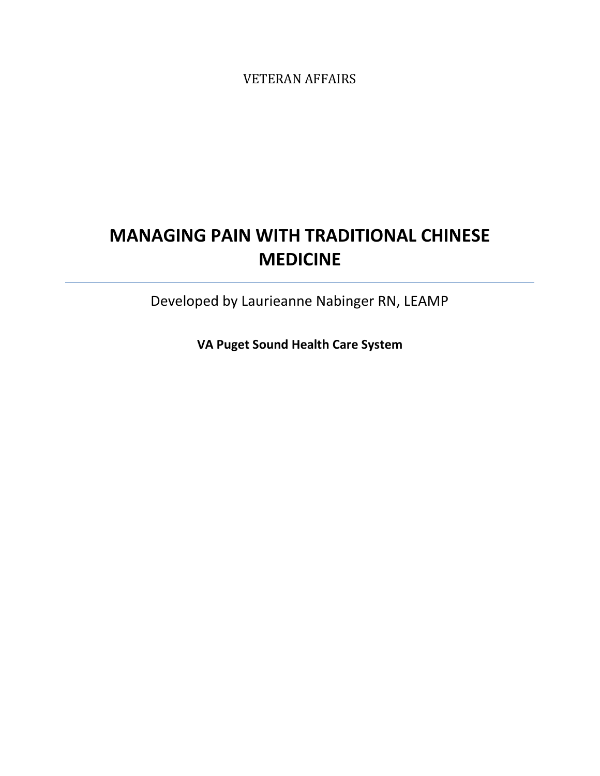VETERAN AFFAIRS

# **MANAGING PAIN WITH TRADITIONAL CHINESE MEDICINE**

Developed by Laurieanne Nabinger RN, LEAMP

**VA Puget Sound Health Care System**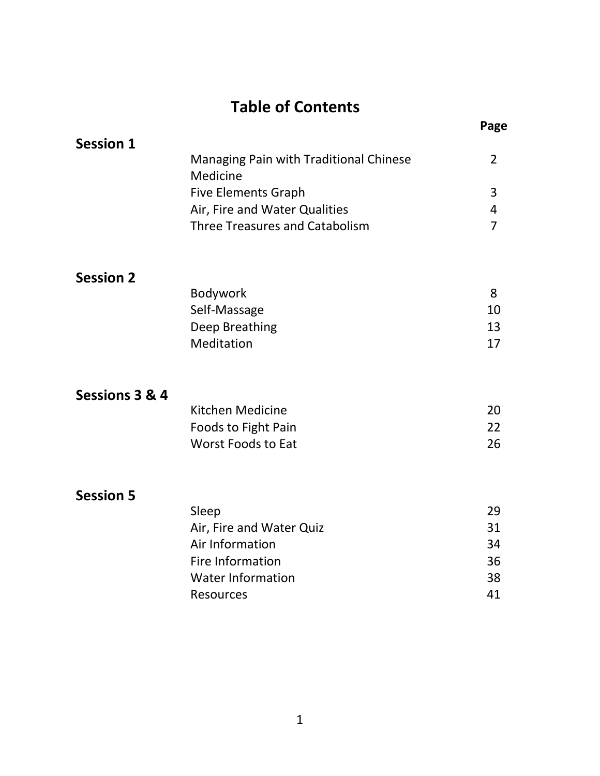# **Table of Contents**

| <b>Session 1</b> |                                        |   |
|------------------|----------------------------------------|---|
|                  | Managing Pain with Traditional Chinese |   |
|                  | <b>Medicine</b>                        |   |
|                  | <b>Five Elements Graph</b>             | ີ |
|                  | Air, Fire and Water Qualities          |   |
|                  | Three Treasures and Catabolism         |   |
|                  |                                        |   |

## **Session 2**

| 10 |
|----|
| 13 |
|    |
|    |

**Page**

### **Sessions 3 & 4**

| Kitchen Medicine           | 20  |
|----------------------------|-----|
| <b>Foods to Fight Pain</b> | -22 |
| Worst Foods to Eat         | 26  |

### **Session 5**

| Sleep                    | 29 |
|--------------------------|----|
| Air, Fire and Water Quiz | 31 |
| Air Information          | 34 |
| Fire Information         | 36 |
| Water Information        | 38 |
| Resources                | 41 |
|                          |    |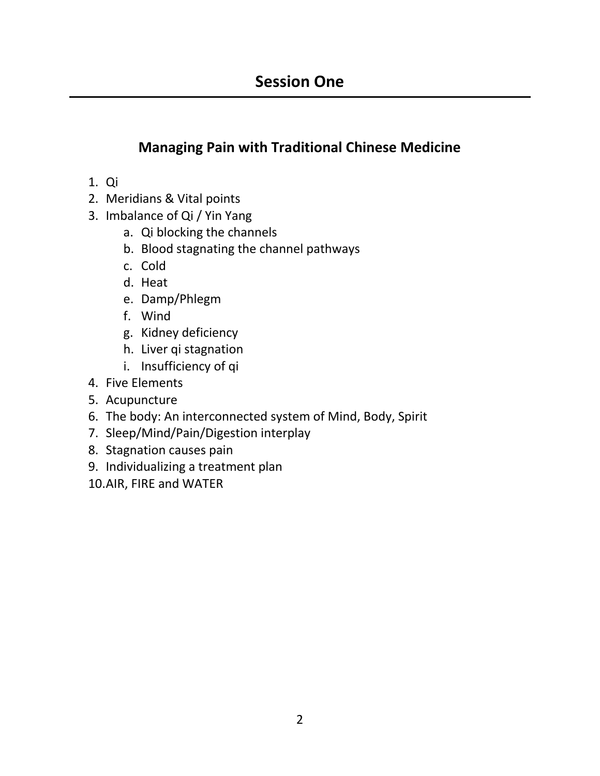# **Managing Pain with Traditional Chinese Medicine**

- 1. Qi
- 2. Meridians & Vital points
- 3. Imbalance of Qi / Yin Yang
	- a. Qi blocking the channels
	- b. Blood stagnating the channel pathways
	- c. Cold
	- d. Heat
	- e. Damp/Phlegm
	- f. Wind
	- g. Kidney deficiency
	- h. Liver qi stagnation
	- i. Insufficiency of qi
- 4. Five Elements
- 5. Acupuncture
- 6. The body: An interconnected system of Mind, Body, Spirit
- 7. Sleep/Mind/Pain/Digestion interplay
- 8. Stagnation causes pain
- 9. Individualizing a treatment plan
- 10.AIR, FIRE and WATER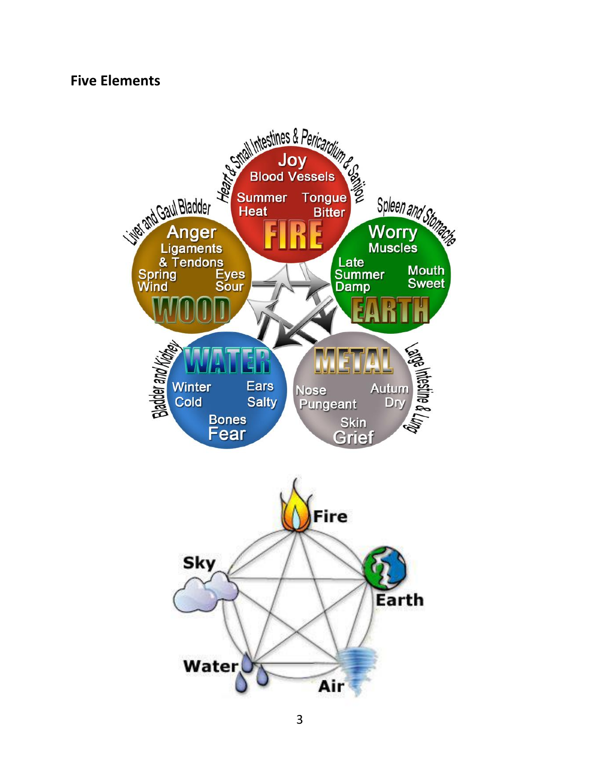### **Five Elements**

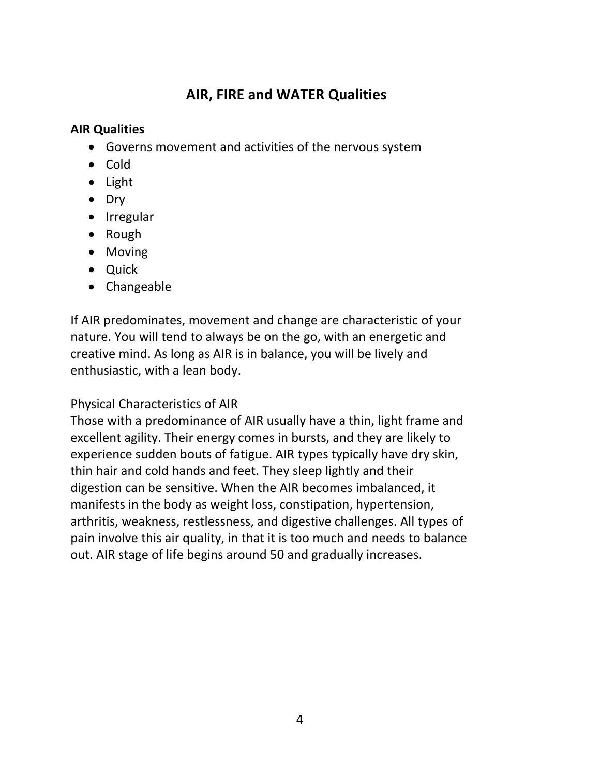# **AIR, FIRE and WATER Qualities**

### **AIR Qualities**

- Governs movement and activities of the nervous system
- Cold
- Light
- Dry
- Irregular
- Rough
- Moving
- Quick
- Changeable

If AIR predominates, movement and change are characteristic of your nature. You will tend to always be on the go, with an energetic and creative mind. As long as AIR is in balance, you will be lively and enthusiastic, with a lean body.

### Physical Characteristics of AIR

Those with a predominance of AIR usually have a thin, light frame and excellent agility. Their energy comes in bursts, and they are likely to experience sudden bouts of fatigue. AIR types typically have dry skin, thin hair and cold hands and feet. They sleep lightly and their digestion can be sensitive. When the AIR becomes imbalanced, it manifests in the body as weight loss, constipation, hypertension, arthritis, weakness, restlessness, and digestive challenges. All types of pain involve this air quality, in that it is too much and needs to balance out. AIR stage of life begins around 50 and gradually increases.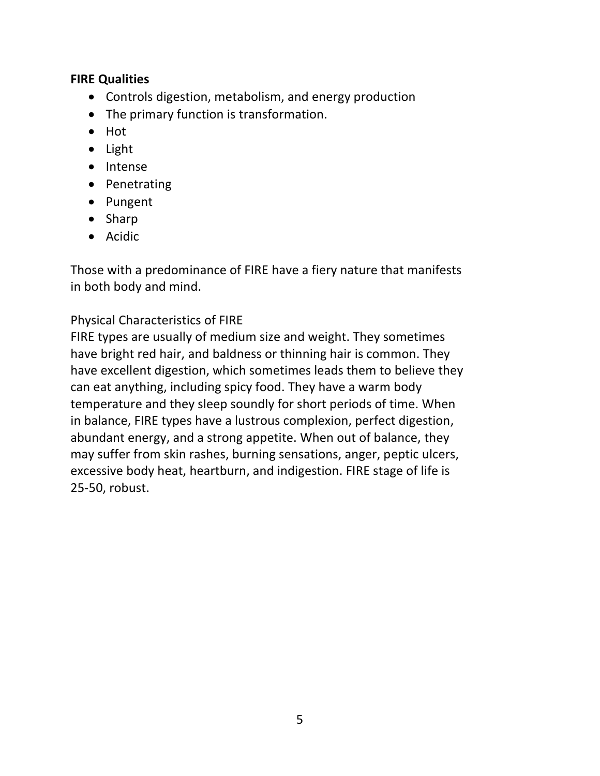#### **FIRE Qualities**

- Controls digestion, metabolism, and energy production
- The primary function is transformation.
- Hot
- Light
- Intense
- Penetrating
- Pungent
- Sharp
- Acidic

Those with a predominance of FIRE have a fiery nature that manifests in both body and mind.

### Physical Characteristics of FIRE

FIRE types are usually of medium size and weight. They sometimes have bright red hair, and baldness or thinning hair is common. They have excellent digestion, which sometimes leads them to believe they can eat anything, including spicy food. They have a warm body temperature and they sleep soundly for short periods of time. When in balance, FIRE types have a lustrous complexion, perfect digestion, abundant energy, and a strong appetite. When out of balance, they may suffer from skin rashes, burning sensations, anger, peptic ulcers, excessive body heat, heartburn, and indigestion. FIRE stage of life is 25-50, robust.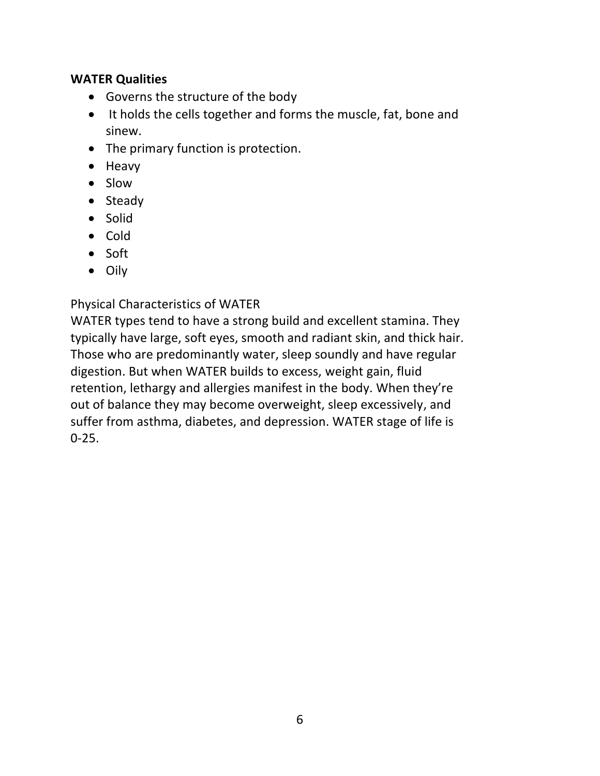#### **WATER Qualities**

- Governs the structure of the body
- It holds the cells together and forms the muscle, fat, bone and sinew.
- The primary function is protection.
- Heavy
- Slow
- Steady
- Solid
- Cold
- Soft
- Oily

Physical Characteristics of WATER

WATER types tend to have a strong build and excellent stamina. They typically have large, soft eyes, smooth and radiant skin, and thick hair. Those who are predominantly water, sleep soundly and have regular digestion. But when WATER builds to excess, weight gain, fluid retention, lethargy and allergies manifest in the body. When they're out of balance they may become overweight, sleep excessively, and suffer from asthma, diabetes, and depression. WATER stage of life is  $0 - 25.$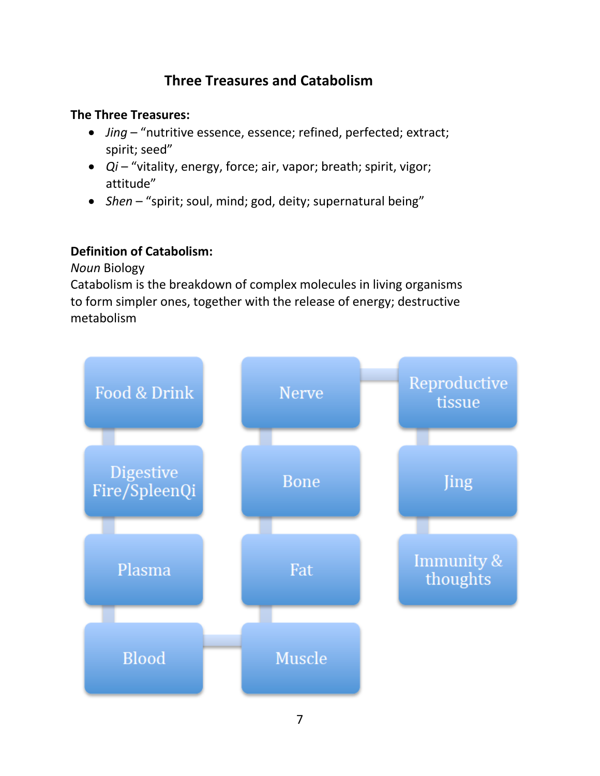# **Three Treasures and Catabolism**

### **The Three Treasures:**

- *Jing* "nutritive essence, essence; refined, perfected; extract; spirit; seed"
- *Qi* "vitality, energy, force; air, vapor; breath; spirit, vigor; attitude"
- *Shen* "spirit; soul, mind; god, deity; supernatural being"

### **Definition of Catabolism:**

*Noun* Biology

Catabolism is the breakdown of complex molecules in living organisms to form simpler ones, together with the release of energy; destructive metabolism

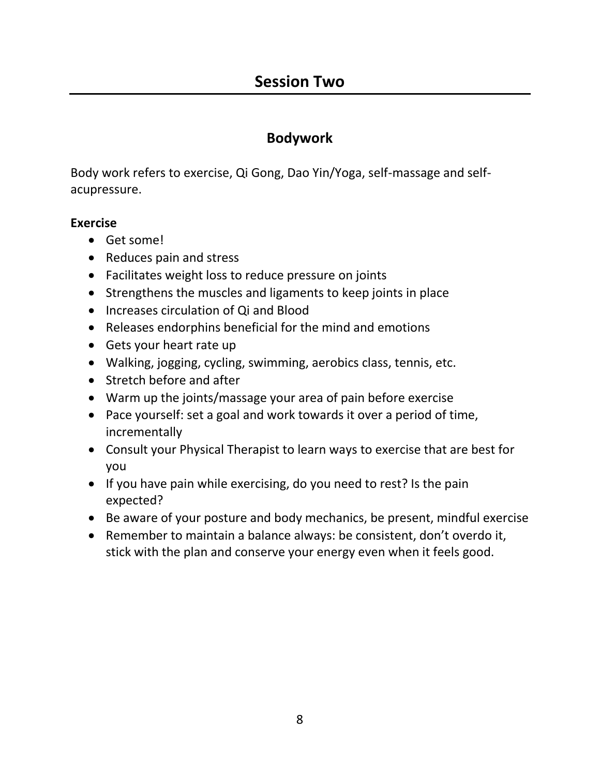### **Bodywork**

Body work refers to exercise, Qi Gong, Dao Yin/Yoga, self-massage and selfacupressure.

#### **Exercise**

- Get some!
- Reduces pain and stress
- Facilitates weight loss to reduce pressure on joints
- Strengthens the muscles and ligaments to keep joints in place
- Increases circulation of Qi and Blood
- Releases endorphins beneficial for the mind and emotions
- Gets your heart rate up
- Walking, jogging, cycling, swimming, aerobics class, tennis, etc.
- Stretch before and after
- Warm up the joints/massage your area of pain before exercise
- Pace yourself: set a goal and work towards it over a period of time, incrementally
- Consult your Physical Therapist to learn ways to exercise that are best for you
- If you have pain while exercising, do you need to rest? Is the pain expected?
- Be aware of your posture and body mechanics, be present, mindful exercise
- Remember to maintain a balance always: be consistent, don't overdo it, stick with the plan and conserve your energy even when it feels good.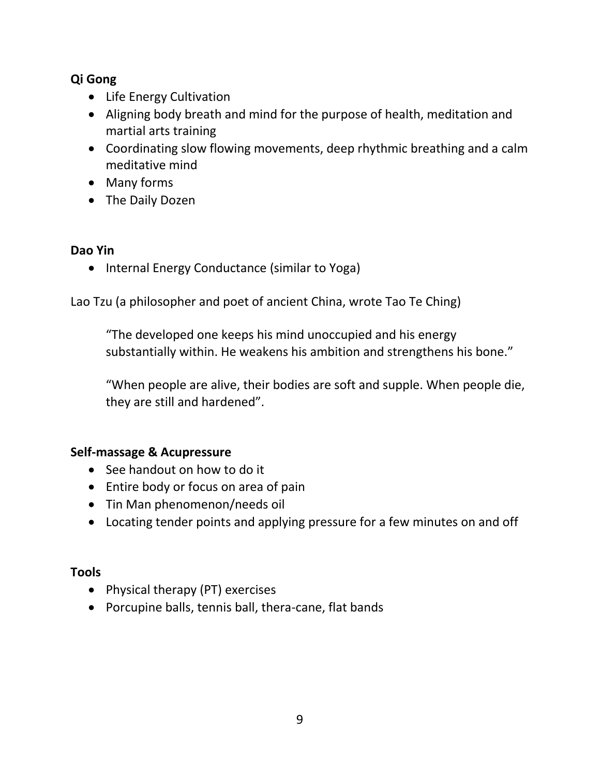### **Qi Gong**

- Life Energy Cultivation
- Aligning body breath and mind for the purpose of health, meditation and martial arts training
- Coordinating slow flowing movements, deep rhythmic breathing and a calm meditative mind
- Many forms
- The Daily Dozen

#### **Dao Yin**

• Internal Energy Conductance (similar to Yoga)

Lao Tzu (a philosopher and poet of ancient China, wrote Tao Te Ching)

"The developed one keeps his mind unoccupied and his energy substantially within. He weakens his ambition and strengthens his bone."

"When people are alive, their bodies are soft and supple. When people die, they are still and hardened".

#### **Self-massage & Acupressure**

- See handout on how to do it
- Entire body or focus on area of pain
- Tin Man phenomenon/needs oil
- Locating tender points and applying pressure for a few minutes on and off

#### **Tools**

- Physical therapy (PT) exercises
- Porcupine balls, tennis ball, thera-cane, flat bands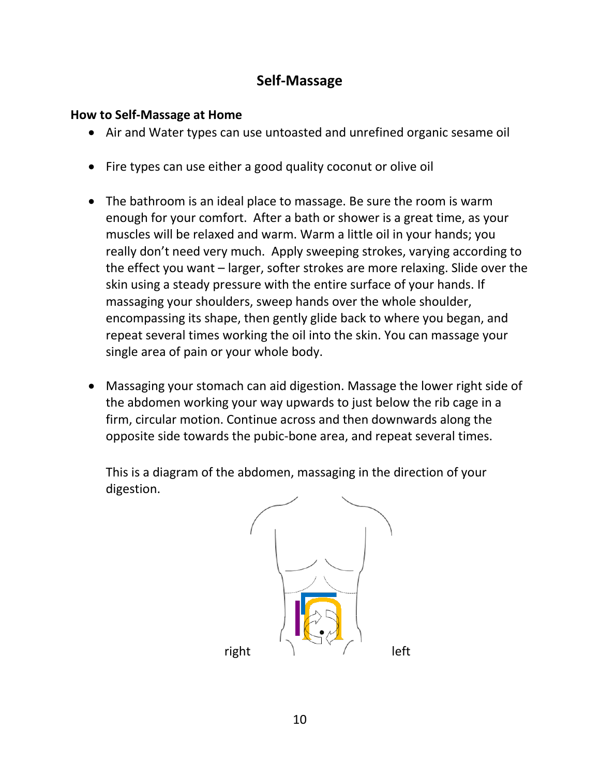### **Self-Massage**

#### **How to Self-Massage at Home**

- Air and Water types can use untoasted and unrefined organic sesame oil
- Fire types can use either a good quality coconut or olive oil
- The bathroom is an ideal place to massage. Be sure the room is warm enough for your comfort. After a bath or shower is a great time, as your muscles will be relaxed and warm. Warm a little oil in your hands; you really don't need very much. Apply sweeping strokes, varying according to the effect you want – larger, softer strokes are more relaxing. Slide over the skin using a steady pressure with the entire surface of your hands. If massaging your shoulders, sweep hands over the whole shoulder, encompassing its shape, then gently glide back to where you began, and repeat several times working the oil into the skin. You can massage your single area of pain or your whole body.
- Massaging your stomach can aid digestion. Massage the lower right side of the abdomen working your way upwards to just below the rib cage in a firm, circular motion. Continue across and then downwards along the opposite side towards the pubic-bone area, and repeat several times.

This is a diagram of the abdomen, massaging in the direction of your digestion.

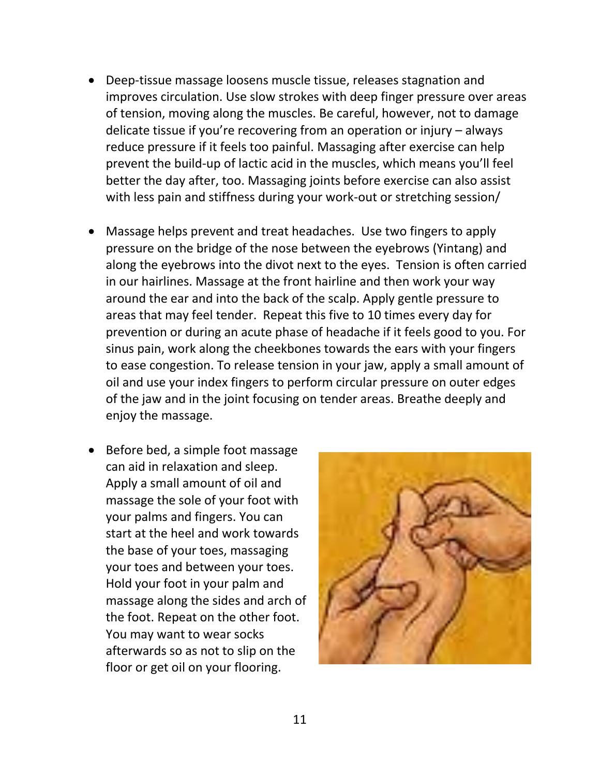- Deep-tissue massage loosens muscle tissue, releases stagnation and improves circulation. Use slow strokes with deep finger pressure over areas of tension, moving along the muscles. Be careful, however, not to damage delicate tissue if you're recovering from an operation or injury – always reduce pressure if it feels too painful. Massaging after exercise can help prevent the build-up of lactic acid in the muscles, which means you'll feel better the day after, too. Massaging joints before exercise can also assist with less pain and stiffness during your work-out or stretching session/
- Massage helps prevent and treat headaches. Use two fingers to apply pressure on the bridge of the nose between the eyebrows (Yintang) and along the eyebrows into the divot next to the eyes. Tension is often carried in our hairlines. Massage at the front hairline and then work your way around the ear and into the back of the scalp. Apply gentle pressure to areas that may feel tender. Repeat this five to 10 times every day for prevention or during an acute phase of headache if it feels good to you. For sinus pain, work along the cheekbones towards the ears with your fingers to ease congestion. To release tension in your jaw, apply a small amount of oil and use your index fingers to perform circular pressure on outer edges of the jaw and in the joint focusing on tender areas. Breathe deeply and enjoy the massage.
- Before bed, a simple foot massage can aid in relaxation and sleep. Apply a small amount of oil and massage the sole of your foot with your palms and fingers. You can start at the heel and work towards the base of your toes, massaging your toes and between your toes. Hold your foot in your palm and massage along the sides and arch of the foot. Repeat on the other foot. You may want to wear socks afterwards so as not to slip on the floor or get oil on your flooring.

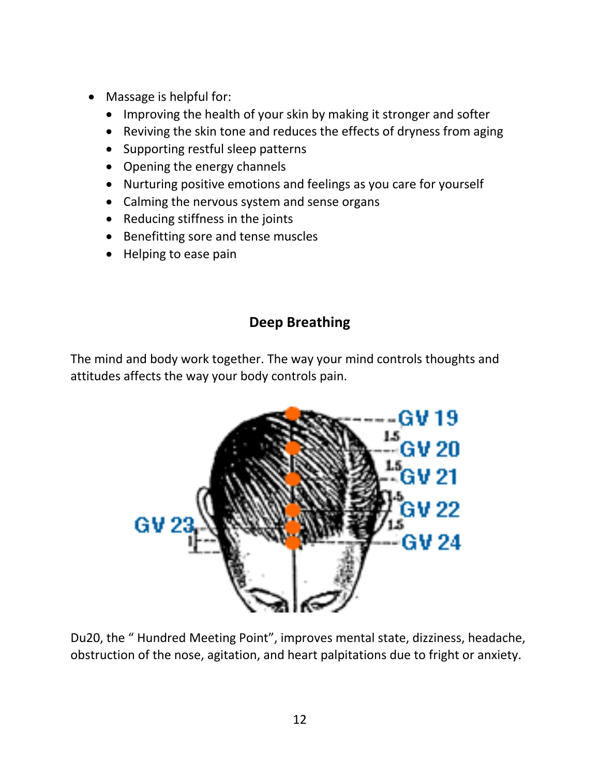- Massage is helpful for:
	- Improving the health of your skin by making it stronger and softer
	- Reviving the skin tone and reduces the effects of dryness from aging
	- Supporting restful sleep patterns
	- Opening the energy channels
	- Nurturing positive emotions and feelings as you care for yourself
	- Calming the nervous system and sense organs
	- Reducing stiffness in the joints
	- Benefitting sore and tense muscles
	- Helping to ease pain

# **Deep Breathing**

The mind and body work together. The way your mind controls thoughts and attitudes affects the way your body controls pain.



Du20, the " Hundred Meeting Point", improves mental state, dizziness, headache, obstruction of the nose, agitation, and heart palpitations due to fright or anxiety.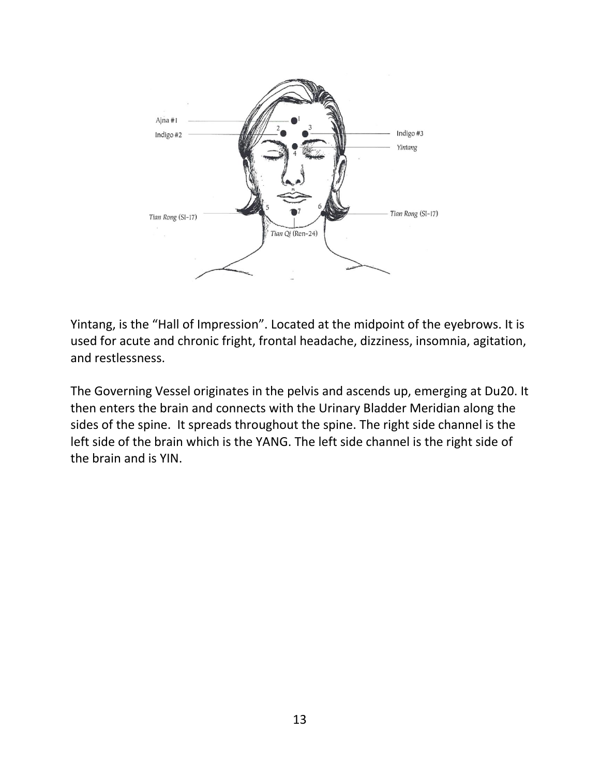

Yintang, is the "Hall of Impression". Located at the midpoint of the eyebrows. It is used for acute and chronic fright, frontal headache, dizziness, insomnia, agitation, and restlessness.

The Governing Vessel originates in the pelvis and ascends up, emerging at Du20. It then enters the brain and connects with the Urinary Bladder Meridian along the sides of the spine. It spreads throughout the spine. The right side channel is the left side of the brain which is the YANG. The left side channel is the right side of the brain and is YIN.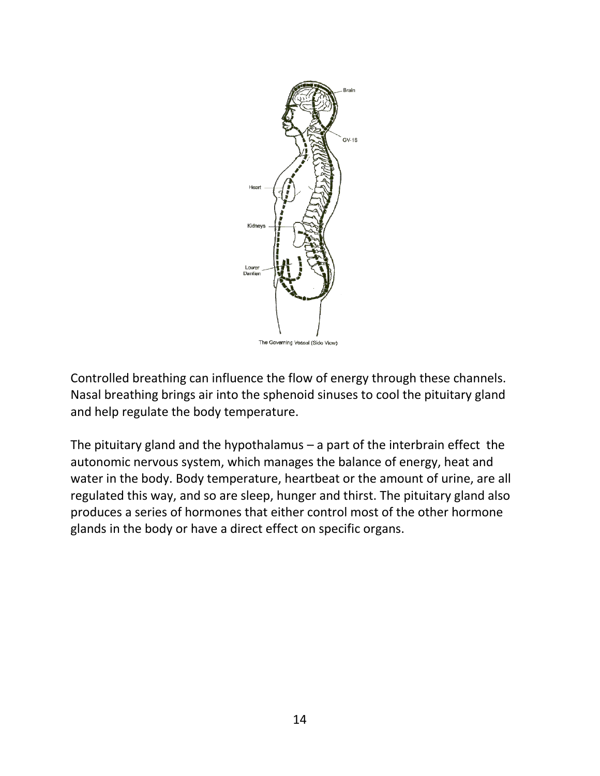

Controlled breathing can influence the flow of energy through these channels. Nasal breathing brings air into the sphenoid sinuses to cool the pituitary gland and help regulate the body temperature.

The pituitary gland and the hypothalamus  $-$  a part of the interbrain effect the autonomic nervous system, which manages the balance of energy, heat and water in the body. Body temperature, heartbeat or the amount of urine, are all regulated this way, and so are sleep, hunger and thirst. The pituitary gland also produces a series of hormones that either control most of the other hormone glands in the body or have a direct effect on specific organs.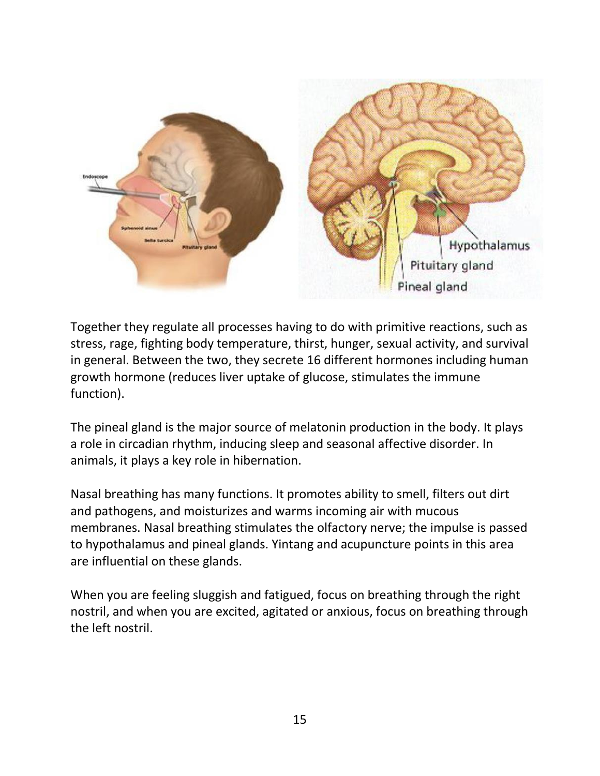

Together they regulate all processes having to do with primitive reactions, such as stress, rage, fighting body temperature, thirst, hunger, sexual activity, and survival in general. Between the two, they secrete 16 different hormones including human growth hormone (reduces liver uptake of glucose, stimulates the immune function).

The pineal gland is the major source of melatonin production in the body. It plays a role in circadian rhythm, inducing sleep and seasonal affective disorder. In animals, it plays a key role in hibernation.

Nasal breathing has many functions. It promotes ability to smell, filters out dirt and pathogens, and moisturizes and warms incoming air with mucous membranes. Nasal breathing stimulates the olfactory nerve; the impulse is passed to hypothalamus and pineal glands. Yintang and acupuncture points in this area are influential on these glands.

When you are feeling sluggish and fatigued, focus on breathing through the right nostril, and when you are excited, agitated or anxious, focus on breathing through the left nostril.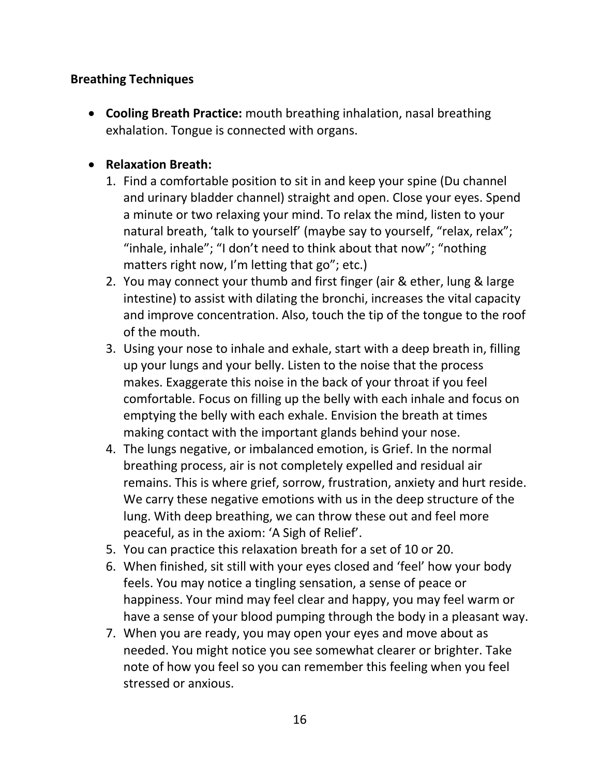### **Breathing Techniques**

• **Cooling Breath Practice:** mouth breathing inhalation, nasal breathing exhalation. Tongue is connected with organs.

### • **Relaxation Breath:**

- 1. Find a comfortable position to sit in and keep your spine (Du channel and urinary bladder channel) straight and open. Close your eyes. Spend a minute or two relaxing your mind. To relax the mind, listen to your natural breath, 'talk to yourself' (maybe say to yourself, "relax, relax"; "inhale, inhale"; "I don't need to think about that now"; "nothing matters right now, I'm letting that go"; etc.)
- 2. You may connect your thumb and first finger (air & ether, lung & large intestine) to assist with dilating the bronchi, increases the vital capacity and improve concentration. Also, touch the tip of the tongue to the roof of the mouth.
- 3. Using your nose to inhale and exhale, start with a deep breath in, filling up your lungs and your belly. Listen to the noise that the process makes. Exaggerate this noise in the back of your throat if you feel comfortable. Focus on filling up the belly with each inhale and focus on emptying the belly with each exhale. Envision the breath at times making contact with the important glands behind your nose.
- 4. The lungs negative, or imbalanced emotion, is Grief. In the normal breathing process, air is not completely expelled and residual air remains. This is where grief, sorrow, frustration, anxiety and hurt reside. We carry these negative emotions with us in the deep structure of the lung. With deep breathing, we can throw these out and feel more peaceful, as in the axiom: 'A Sigh of Relief'.
- 5. You can practice this relaxation breath for a set of 10 or 20.
- 6. When finished, sit still with your eyes closed and 'feel' how your body feels. You may notice a tingling sensation, a sense of peace or happiness. Your mind may feel clear and happy, you may feel warm or have a sense of your blood pumping through the body in a pleasant way.
- 7. When you are ready, you may open your eyes and move about as needed. You might notice you see somewhat clearer or brighter. Take note of how you feel so you can remember this feeling when you feel stressed or anxious.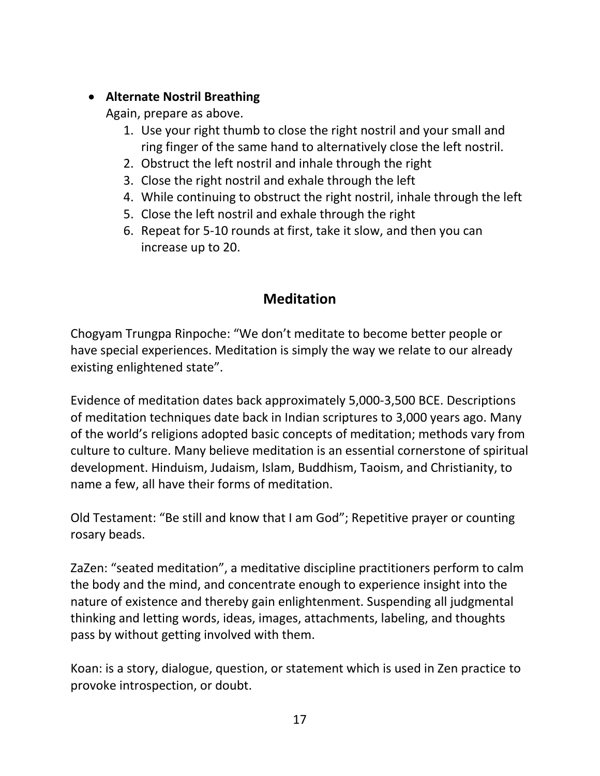### • **Alternate Nostril Breathing**

Again, prepare as above.

- 1. Use your right thumb to close the right nostril and your small and ring finger of the same hand to alternatively close the left nostril.
- 2. Obstruct the left nostril and inhale through the right
- 3. Close the right nostril and exhale through the left
- 4. While continuing to obstruct the right nostril, inhale through the left
- 5. Close the left nostril and exhale through the right
- 6. Repeat for 5-10 rounds at first, take it slow, and then you can increase up to 20.

# **Meditation**

Chogyam Trungpa Rinpoche: "We don't meditate to become better people or have special experiences. Meditation is simply the way we relate to our already existing enlightened state".

Evidence of meditation dates back approximately 5,000-3,500 BCE. Descriptions of meditation techniques date back in Indian scriptures to 3,000 years ago. Many of the world's religions adopted basic concepts of meditation; methods vary from culture to culture. Many believe meditation is an essential cornerstone of spiritual development. Hinduism, Judaism, Islam, Buddhism, Taoism, and Christianity, to name a few, all have their forms of meditation.

Old Testament: "Be still and know that I am God"; Repetitive prayer or counting rosary beads.

ZaZen: "seated meditation", a meditative discipline practitioners perform to calm the body and the mind, and concentrate enough to experience insight into the nature of existence and thereby gain enlightenment. Suspending all judgmental thinking and letting words, ideas, images, attachments, labeling, and thoughts pass by without getting involved with them.

Koan: is a story, dialogue, question, or statement which is used in Zen practice to provoke introspection, or doubt.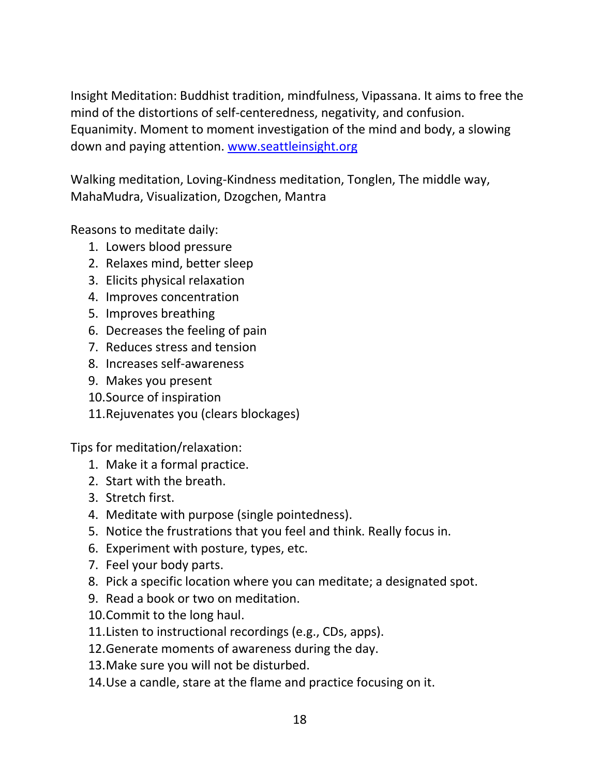Insight Meditation: Buddhist tradition, mindfulness, Vipassana. It aims to free the mind of the distortions of self-centeredness, negativity, and confusion. Equanimity. Moment to moment investigation of the mind and body, a slowing down and paying attention. [www.seattleinsight.org](http://www.seattleinsight.org/)

Walking meditation, Loving-Kindness meditation, Tonglen, The middle way, MahaMudra, Visualization, Dzogchen, Mantra

Reasons to meditate daily:

- 1. Lowers blood pressure
- 2. Relaxes mind, better sleep
- 3. Elicits physical relaxation
- 4. Improves concentration
- 5. Improves breathing
- 6. Decreases the feeling of pain
- 7. Reduces stress and tension
- 8. Increases self-awareness
- 9. Makes you present
- 10.Source of inspiration
- 11.Rejuvenates you (clears blockages)

Tips for meditation/relaxation:

- 1. Make it a formal practice.
- 2. Start with the breath.
- 3. Stretch first.
- 4. Meditate with purpose (single pointedness).
- 5. Notice the frustrations that you feel and think. Really focus in.
- 6. Experiment with posture, types, etc.
- 7. Feel your body parts.
- 8. Pick a specific location where you can meditate; a designated spot.
- 9. Read a book or two on meditation.
- 10.Commit to the long haul.
- 11.Listen to instructional recordings (e.g., CDs, apps).
- 12.Generate moments of awareness during the day.
- 13.Make sure you will not be disturbed.
- 14.Use a candle, stare at the flame and practice focusing on it.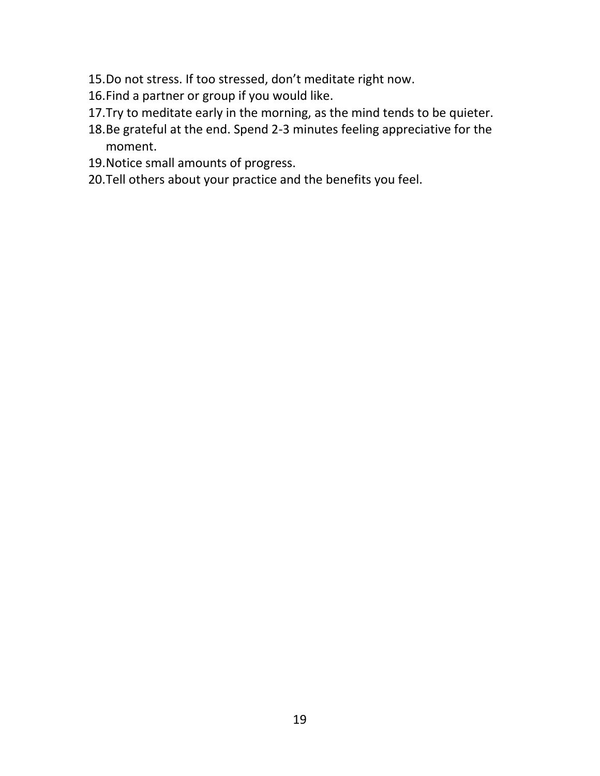- 15.Do not stress. If too stressed, don't meditate right now.
- 16.Find a partner or group if you would like.
- 17.Try to meditate early in the morning, as the mind tends to be quieter.
- 18.Be grateful at the end. Spend 2-3 minutes feeling appreciative for the moment.
- 19.Notice small amounts of progress.
- 20.Tell others about your practice and the benefits you feel.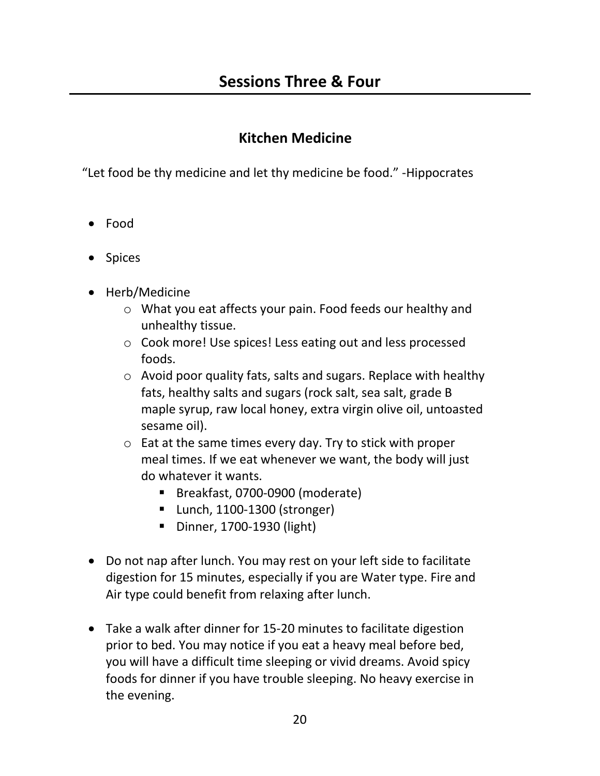### **Kitchen Medicine**

"Let food be thy medicine and let thy medicine be food." -Hippocrates

- Food
- Spices
- Herb/Medicine
	- o What you eat affects your pain. Food feeds our healthy and unhealthy tissue.
	- o Cook more! Use spices! Less eating out and less processed foods.
	- o Avoid poor quality fats, salts and sugars. Replace with healthy fats, healthy salts and sugars (rock salt, sea salt, grade B maple syrup, raw local honey, extra virgin olive oil, untoasted sesame oil).
	- o Eat at the same times every day. Try to stick with proper meal times. If we eat whenever we want, the body will just do whatever it wants.
		- Breakfast, 0700-0900 (moderate)
		- Lunch, 1100-1300 (stronger)
		- Dinner, 1700-1930 (light)
- Do not nap after lunch. You may rest on your left side to facilitate digestion for 15 minutes, especially if you are Water type. Fire and Air type could benefit from relaxing after lunch.
- Take a walk after dinner for 15-20 minutes to facilitate digestion prior to bed. You may notice if you eat a heavy meal before bed, you will have a difficult time sleeping or vivid dreams. Avoid spicy foods for dinner if you have trouble sleeping. No heavy exercise in the evening.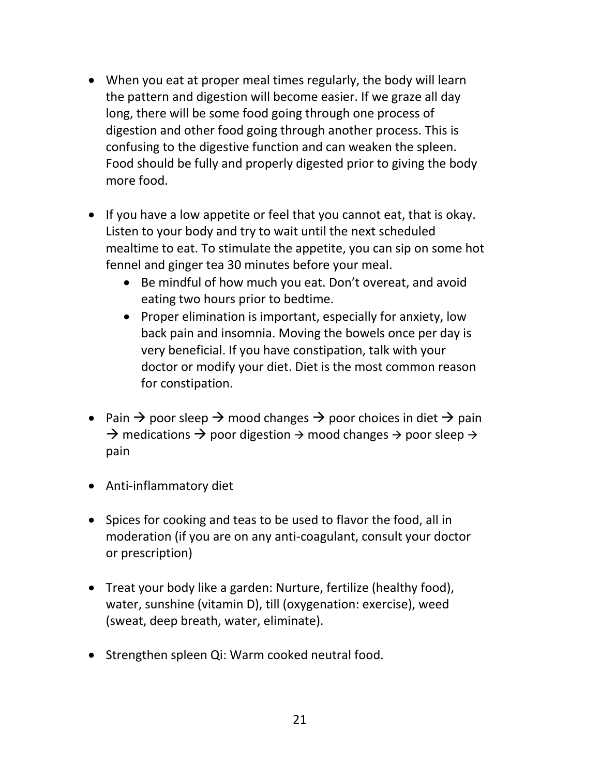- When you eat at proper meal times regularly, the body will learn the pattern and digestion will become easier. If we graze all day long, there will be some food going through one process of digestion and other food going through another process. This is confusing to the digestive function and can weaken the spleen. Food should be fully and properly digested prior to giving the body more food.
- If you have a low appetite or feel that you cannot eat, that is okay. Listen to your body and try to wait until the next scheduled mealtime to eat. To stimulate the appetite, you can sip on some hot fennel and ginger tea 30 minutes before your meal.
	- Be mindful of how much you eat. Don't overeat, and avoid eating two hours prior to bedtime.
	- Proper elimination is important, especially for anxiety, low back pain and insomnia. Moving the bowels once per day is very beneficial. If you have constipation, talk with your doctor or modify your diet. Diet is the most common reason for constipation.
- Pain  $\rightarrow$  poor sleep  $\rightarrow$  mood changes  $\rightarrow$  poor choices in diet  $\rightarrow$  pain  $\rightarrow$  medications  $\rightarrow$  poor digestion  $\rightarrow$  mood changes  $\rightarrow$  poor sleep  $\rightarrow$ pain
- Anti-inflammatory diet
- Spices for cooking and teas to be used to flavor the food, all in moderation (if you are on any anti-coagulant, consult your doctor or prescription)
- Treat your body like a garden: Nurture, fertilize (healthy food), water, sunshine (vitamin D), till (oxygenation: exercise), weed (sweat, deep breath, water, eliminate).
- Strengthen spleen Qi: Warm cooked neutral food.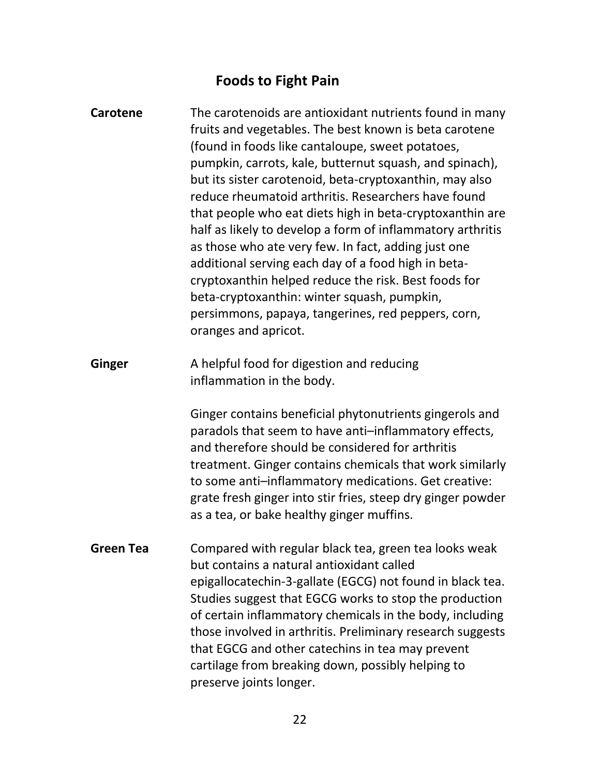# **Foods to Fight Pain**

| <b>Carotene</b>  | The carotenoids are antioxidant nutrients found in many<br>fruits and vegetables. The best known is beta carotene<br>(found in foods like cantaloupe, sweet potatoes,<br>pumpkin, carrots, kale, butternut squash, and spinach),<br>but its sister carotenoid, beta-cryptoxanthin, may also<br>reduce rheumatoid arthritis. Researchers have found<br>that people who eat diets high in beta-cryptoxanthin are<br>half as likely to develop a form of inflammatory arthritis<br>as those who ate very few. In fact, adding just one<br>additional serving each day of a food high in beta-<br>cryptoxanthin helped reduce the risk. Best foods for<br>beta-cryptoxanthin: winter squash, pumpkin,<br>persimmons, papaya, tangerines, red peppers, corn,<br>oranges and apricot. |
|------------------|---------------------------------------------------------------------------------------------------------------------------------------------------------------------------------------------------------------------------------------------------------------------------------------------------------------------------------------------------------------------------------------------------------------------------------------------------------------------------------------------------------------------------------------------------------------------------------------------------------------------------------------------------------------------------------------------------------------------------------------------------------------------------------|
| <b>Ginger</b>    | A helpful food for digestion and reducing<br>inflammation in the body.                                                                                                                                                                                                                                                                                                                                                                                                                                                                                                                                                                                                                                                                                                          |
|                  | Ginger contains beneficial phytonutrients gingerols and<br>paradols that seem to have anti-inflammatory effects,<br>and therefore should be considered for arthritis<br>treatment. Ginger contains chemicals that work similarly<br>to some anti-inflammatory medications. Get creative:<br>grate fresh ginger into stir fries, steep dry ginger powder<br>as a tea, or bake healthy ginger muffins.                                                                                                                                                                                                                                                                                                                                                                            |
| <b>Green Tea</b> | Compared with regular black tea, green tea looks weak<br>but contains a natural antioxidant called<br>epigallocatechin-3-gallate (EGCG) not found in black tea.<br>Studies suggest that EGCG works to stop the production<br>of certain inflammatory chemicals in the body, including<br>those involved in arthritis. Preliminary research suggests<br>that EGCG and other catechins in tea may prevent<br>cartilage from breaking down, possibly helping to<br>preserve joints longer.                                                                                                                                                                                                                                                                                         |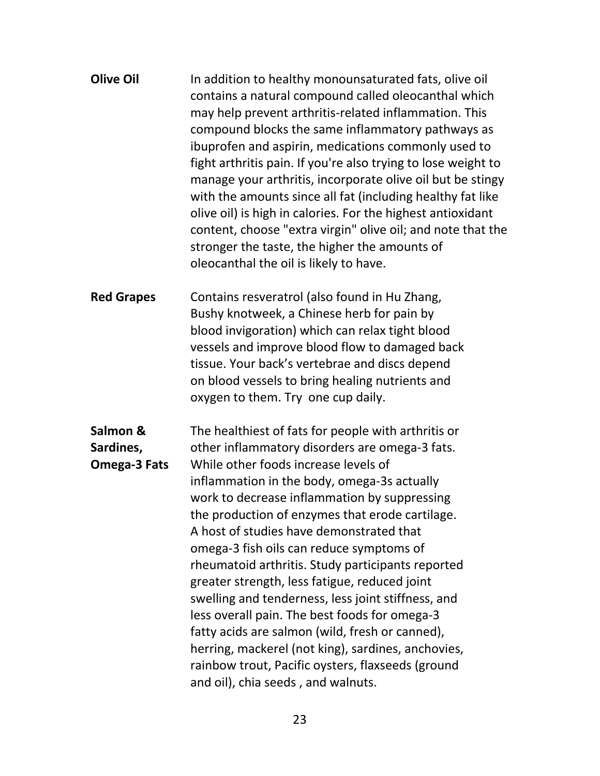| <b>Olive Oil</b> | In addition to healthy monounsaturated fats, olive oil<br>contains a natural compound called oleocanthal which<br>may help prevent arthritis-related inflammation. This<br>compound blocks the same inflammatory pathways as<br>ibuprofen and aspirin, medications commonly used to<br>fight arthritis pain. If you're also trying to lose weight to<br>manage your arthritis, incorporate olive oil but be stingy<br>with the amounts since all fat (including healthy fat like<br>olive oil) is high in calories. For the highest antioxidant<br>content, choose "extra virgin" olive oil; and note that the |
|------------------|----------------------------------------------------------------------------------------------------------------------------------------------------------------------------------------------------------------------------------------------------------------------------------------------------------------------------------------------------------------------------------------------------------------------------------------------------------------------------------------------------------------------------------------------------------------------------------------------------------------|
|                  | stronger the taste, the higher the amounts of<br>oleocanthal the oil is likely to have.                                                                                                                                                                                                                                                                                                                                                                                                                                                                                                                        |

**Red Grapes** Contains resveratrol (also found in Hu Zhang, Bushy knotweek, a Chinese herb for pain by blood invigoration) which can relax tight blood vessels and improve blood flow to damaged back tissue. Your back's vertebrae and discs depend on blood vessels to bring healing nutrients and oxygen to them. Try one cup daily.

**Salmon & Sardines, Omega-3 Fats** The healthiest of fats for people with arthritis or other inflammatory disorders are omega-3 fats. While other foods increase levels of inflammation in the body, omega-3s actually work to decrease inflammation by suppressing the production of enzymes that erode cartilage. A host of studies have demonstrated that omega-3 fish oils can reduce symptoms of rheumatoid arthritis. Study participants reported greater strength, less fatigue, reduced joint swelling and tenderness, less joint stiffness, and less overall pain. The best foods for omega-3 fatty acids are salmon (wild, fresh or canned), herring, mackerel (not king), sardines, anchovies, rainbow trout, Pacific oysters, flaxseeds (ground and oil), chia seeds , and walnuts.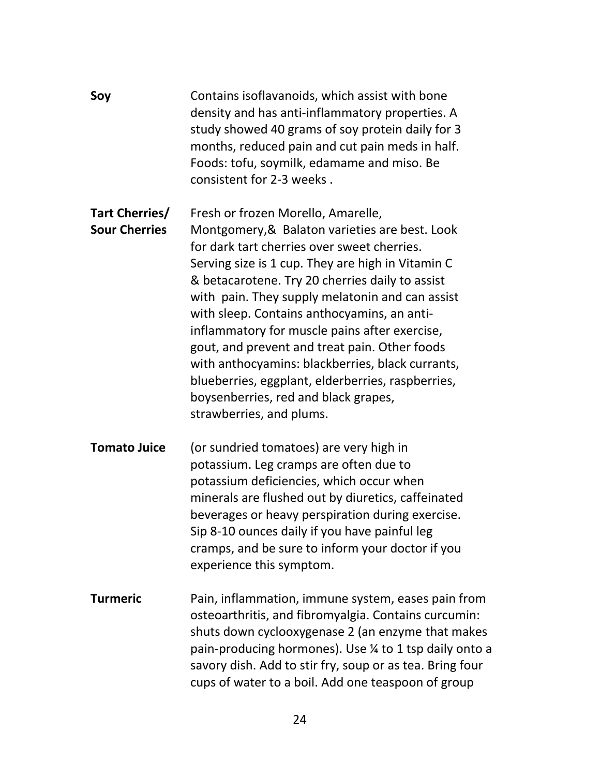| Soy                                    | Contains isoflavanoids, which assist with bone<br>density and has anti-inflammatory properties. A<br>study showed 40 grams of soy protein daily for 3<br>months, reduced pain and cut pain meds in half.<br>Foods: tofu, soymilk, edamame and miso. Be<br>consistent for 2-3 weeks.                                                                                                                                                                                                                                                                                                                                          |
|----------------------------------------|------------------------------------------------------------------------------------------------------------------------------------------------------------------------------------------------------------------------------------------------------------------------------------------------------------------------------------------------------------------------------------------------------------------------------------------------------------------------------------------------------------------------------------------------------------------------------------------------------------------------------|
| Tart Cherries/<br><b>Sour Cherries</b> | Fresh or frozen Morello, Amarelle,<br>Montgomery, & Balaton varieties are best. Look<br>for dark tart cherries over sweet cherries.<br>Serving size is 1 cup. They are high in Vitamin C<br>& betacarotene. Try 20 cherries daily to assist<br>with pain. They supply melatonin and can assist<br>with sleep. Contains anthocyamins, an anti-<br>inflammatory for muscle pains after exercise,<br>gout, and prevent and treat pain. Other foods<br>with anthocyamins: blackberries, black currants,<br>blueberries, eggplant, elderberries, raspberries,<br>boysenberries, red and black grapes,<br>strawberries, and plums. |
| <b>Tomato Juice</b>                    | (or sundried tomatoes) are very high in<br>potassium. Leg cramps are often due to<br>potassium deficiencies, which occur when<br>minerals are flushed out by diuretics, caffeinated<br>beverages or heavy perspiration during exercise.<br>Sip 8-10 ounces daily if you have painful leg<br>cramps, and be sure to inform your doctor if you<br>experience this symptom.                                                                                                                                                                                                                                                     |
| <b>Turmeric</b>                        | Pain, inflammation, immune system, eases pain from<br>osteoarthritis, and fibromyalgia. Contains curcumin:<br>shuts down cyclooxygenase 2 (an enzyme that makes<br>pain-producing hormones). Use 1/4 to 1 tsp daily onto a<br>savory dish. Add to stir fry, soup or as tea. Bring four<br>cups of water to a boil. Add one teaspoon of group                                                                                                                                                                                                                                                                                 |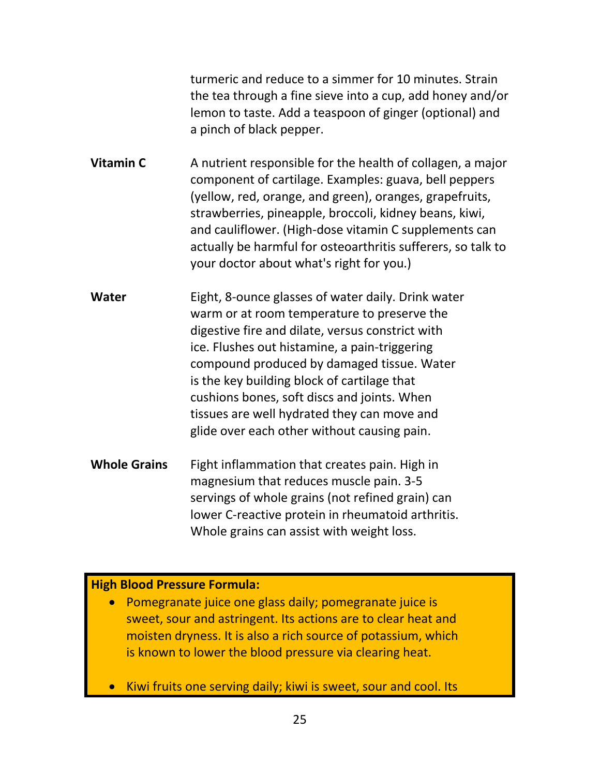turmeric and reduce to a simmer for 10 minutes. Strain the tea through a fine sieve into a cup, add honey and/or lemon to taste. Add a teaspoon of ginger (optional) and a pinch of black pepper.

**Vitamin C** A nutrient responsible for the health of collagen, a major component of cartilage. Examples: guava, bell peppers (yellow, red, orange, and green), oranges, grapefruits, strawberries, pineapple, broccoli, kidney beans, kiwi, and cauliflower. (High-dose vitamin C supplements can actually be harmful for osteoarthritis sufferers, so talk to your doctor about what's right for you.)

**Water** Eight, 8-ounce glasses of water daily. Drink water warm or at room temperature to preserve the digestive fire and dilate, versus constrict with ice. Flushes out histamine, a pain-triggering compound produced by damaged tissue. Water is the key building block of cartilage that cushions bones, soft discs and joints. When tissues are well hydrated they can move and glide over each other without causing pain.

**Whole Grains** Fight inflammation that creates pain. High in magnesium that reduces muscle pain. 3-5 servings of whole grains (not refined grain) can lower C-reactive protein in rheumatoid arthritis. Whole grains can assist with weight loss.

#### **High Blood Pressure Formula:**

• Pomegranate juice one glass daily; pomegranate juice is sweet, sour and astringent. Its actions are to clear heat and moisten dryness. It is also a rich source of potassium, which is known to lower the blood pressure via clearing heat.

• Kiwi fruits one serving daily; kiwi is sweet, sour and cool. Its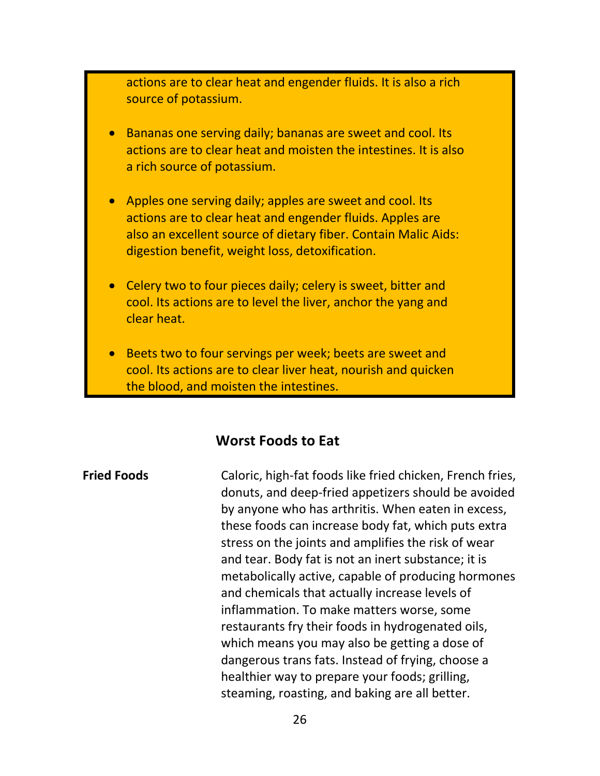actions are to clear heat and engender fluids. It is also a rich source of potassium.

- Bananas one serving daily; bananas are sweet and cool. Its actions are to clear heat and moisten the intestines. It is also a rich source of potassium.
- Apples one serving daily; apples are sweet and cool. Its actions are to clear heat and engender fluids. Apples are also an excellent source of dietary fiber. Contain Malic Aids: digestion benefit, weight loss, detoxification.
- Celery two to four pieces daily; celery is sweet, bitter and cool. Its actions are to level the liver, anchor the yang and clear heat.
- Beets two to four servings per week; beets are sweet and cool. Its actions are to clear liver heat, nourish and quicken the blood, and moisten the intestines.

#### **Worst Foods to Eat**

**Fried Foods** Caloric, high-fat foods like fried chicken, French fries, donuts, and deep-fried appetizers should be avoided by anyone who has arthritis. When eaten in excess, these foods can increase body fat, which puts extra stress on the joints and amplifies the risk of wear and tear. Body fat is not an inert substance; it is metabolically active, capable of producing hormones and chemicals that actually increase levels of inflammation. To make matters worse, some restaurants fry their foods in hydrogenated oils, which means you may also be getting a dose of dangerous trans fats. Instead of frying, choose a healthier way to prepare your foods; grilling, steaming, roasting, and baking are all better.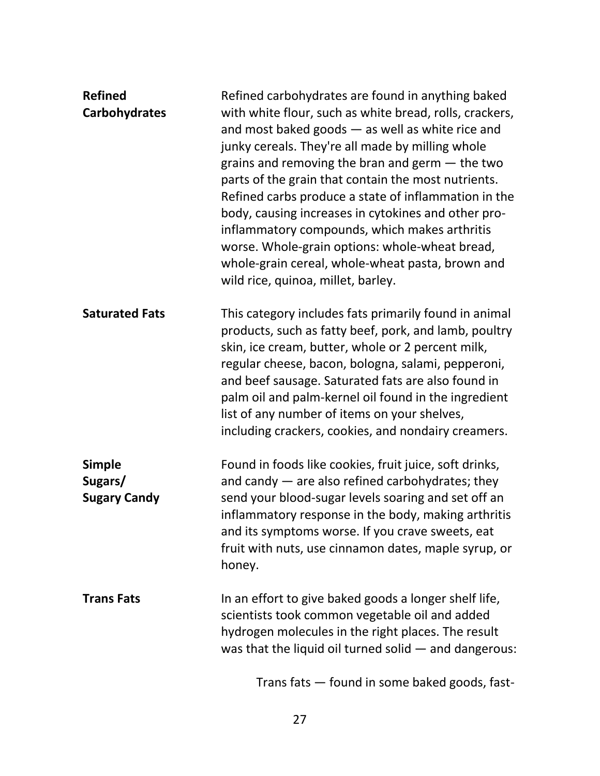| <b>Refined</b><br><b>Carbohydrates</b>          | Refined carbohydrates are found in anything baked<br>with white flour, such as white bread, rolls, crackers,<br>and most baked goods $-$ as well as white rice and<br>junky cereals. They're all made by milling whole<br>grains and removing the bran and germ $-$ the two<br>parts of the grain that contain the most nutrients.<br>Refined carbs produce a state of inflammation in the<br>body, causing increases in cytokines and other pro-<br>inflammatory compounds, which makes arthritis<br>worse. Whole-grain options: whole-wheat bread,<br>whole-grain cereal, whole-wheat pasta, brown and<br>wild rice, quinoa, millet, barley. |
|-------------------------------------------------|------------------------------------------------------------------------------------------------------------------------------------------------------------------------------------------------------------------------------------------------------------------------------------------------------------------------------------------------------------------------------------------------------------------------------------------------------------------------------------------------------------------------------------------------------------------------------------------------------------------------------------------------|
| <b>Saturated Fats</b>                           | This category includes fats primarily found in animal<br>products, such as fatty beef, pork, and lamb, poultry<br>skin, ice cream, butter, whole or 2 percent milk,<br>regular cheese, bacon, bologna, salami, pepperoni,<br>and beef sausage. Saturated fats are also found in<br>palm oil and palm-kernel oil found in the ingredient<br>list of any number of items on your shelves,<br>including crackers, cookies, and nondairy creamers.                                                                                                                                                                                                 |
| <b>Simple</b><br>Sugars/<br><b>Sugary Candy</b> | Found in foods like cookies, fruit juice, soft drinks,<br>and candy $-$ are also refined carbohydrates; they<br>send your blood-sugar levels soaring and set off an<br>inflammatory response in the body, making arthritis<br>and its symptoms worse. If you crave sweets, eat<br>fruit with nuts, use cinnamon dates, maple syrup, or<br>honey.                                                                                                                                                                                                                                                                                               |
| <b>Trans Fats</b>                               | In an effort to give baked goods a longer shelf life,<br>scientists took common vegetable oil and added<br>hydrogen molecules in the right places. The result<br>was that the liquid oil turned solid - and dangerous:                                                                                                                                                                                                                                                                                                                                                                                                                         |
|                                                 | Trans fats - found in some baked goods, fast-                                                                                                                                                                                                                                                                                                                                                                                                                                                                                                                                                                                                  |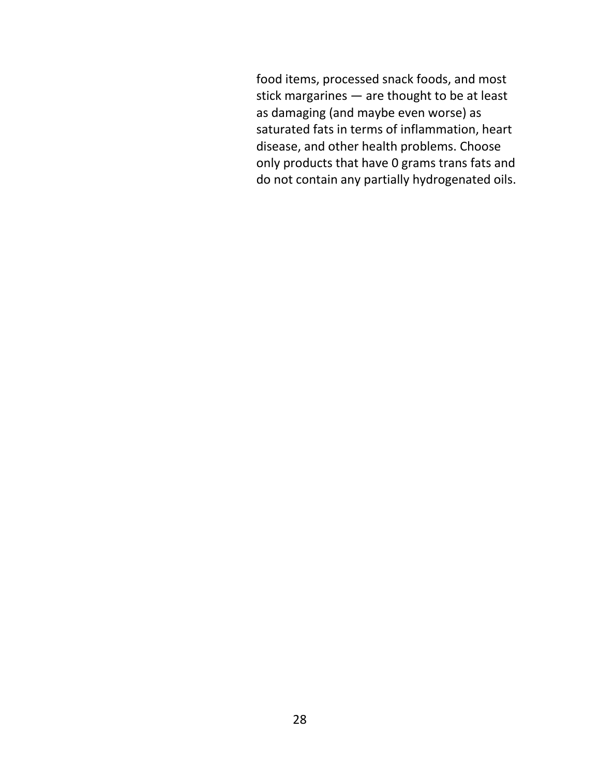food items, processed snack foods, and most stick margarines — are thought to be at least as damaging (and maybe even worse) as saturated fats in terms of inflammation, heart disease, and other health problems. Choose only products that have 0 grams trans fats and do not contain any partially hydrogenated oils.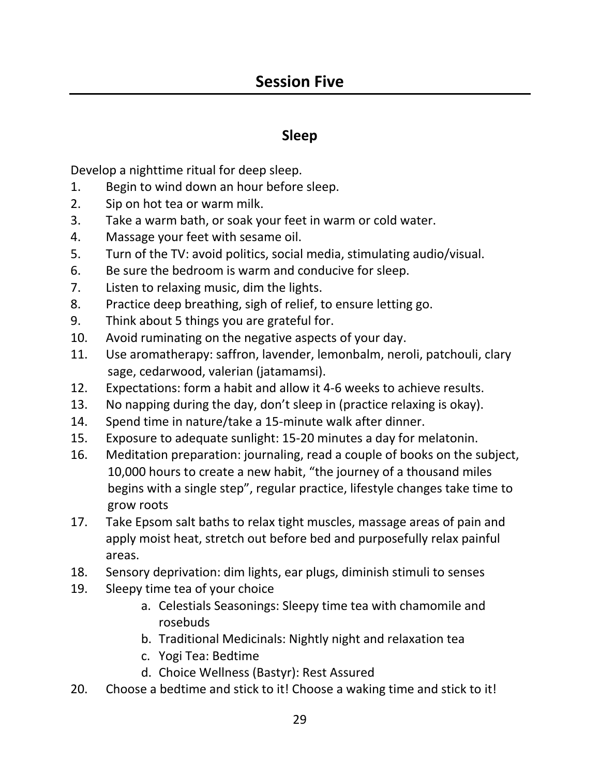### **Sleep**

Develop a nighttime ritual for deep sleep.

- 1. Begin to wind down an hour before sleep.
- 2. Sip on hot tea or warm milk.
- 3. Take a warm bath, or soak your feet in warm or cold water.
- 4. Massage your feet with sesame oil.
- 5. Turn of the TV: avoid politics, social media, stimulating audio/visual.
- 6. Be sure the bedroom is warm and conducive for sleep.
- 7. Listen to relaxing music, dim the lights.
- 8. Practice deep breathing, sigh of relief, to ensure letting go.
- 9. Think about 5 things you are grateful for.
- 10. Avoid ruminating on the negative aspects of your day.
- 11. Use aromatherapy: saffron, lavender, lemonbalm, neroli, patchouli, clary sage, cedarwood, valerian (jatamamsi).
- 12. Expectations: form a habit and allow it 4-6 weeks to achieve results.
- 13. No napping during the day, don't sleep in (practice relaxing is okay).
- 14. Spend time in nature/take a 15-minute walk after dinner.
- 15. Exposure to adequate sunlight: 15-20 minutes a day for melatonin.
- 16. Meditation preparation: journaling, read a couple of books on the subject, 10,000 hours to create a new habit, "the journey of a thousand miles begins with a single step", regular practice, lifestyle changes take time to grow roots
- 17. Take Epsom salt baths to relax tight muscles, massage areas of pain and apply moist heat, stretch out before bed and purposefully relax painful areas.
- 18. Sensory deprivation: dim lights, ear plugs, diminish stimuli to senses
- 19. Sleepy time tea of your choice
	- a. Celestials Seasonings: Sleepy time tea with chamomile and rosebuds
	- b. Traditional Medicinals: Nightly night and relaxation tea
	- c. Yogi Tea: Bedtime
	- d. Choice Wellness (Bastyr): Rest Assured
- 20. Choose a bedtime and stick to it! Choose a waking time and stick to it!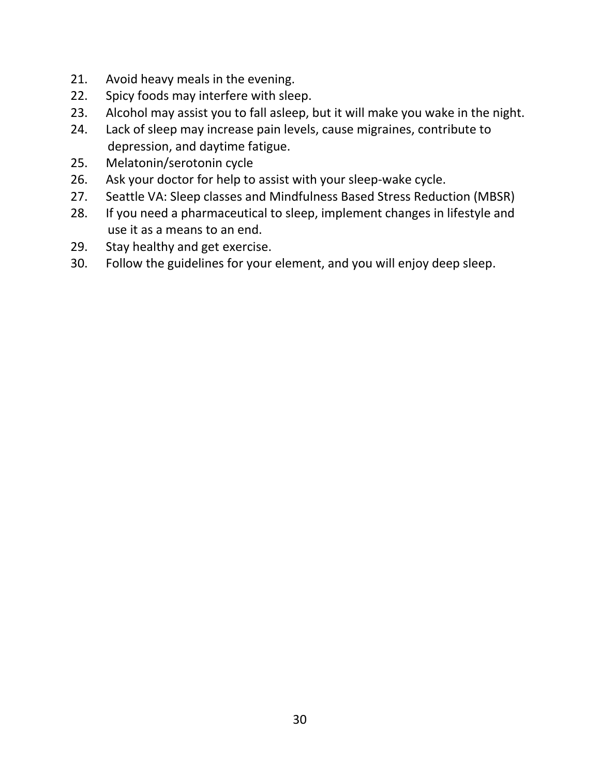- 21. Avoid heavy meals in the evening.
- 22. Spicy foods may interfere with sleep.
- 23. Alcohol may assist you to fall asleep, but it will make you wake in the night.
- 24. Lack of sleep may increase pain levels, cause migraines, contribute to depression, and daytime fatigue.
- 25. Melatonin/serotonin cycle
- 26. Ask your doctor for help to assist with your sleep-wake cycle.
- 27. Seattle VA: Sleep classes and Mindfulness Based Stress Reduction (MBSR)
- 28. If you need a pharmaceutical to sleep, implement changes in lifestyle and use it as a means to an end.
- 29. Stay healthy and get exercise.
- 30. Follow the guidelines for your element, and you will enjoy deep sleep.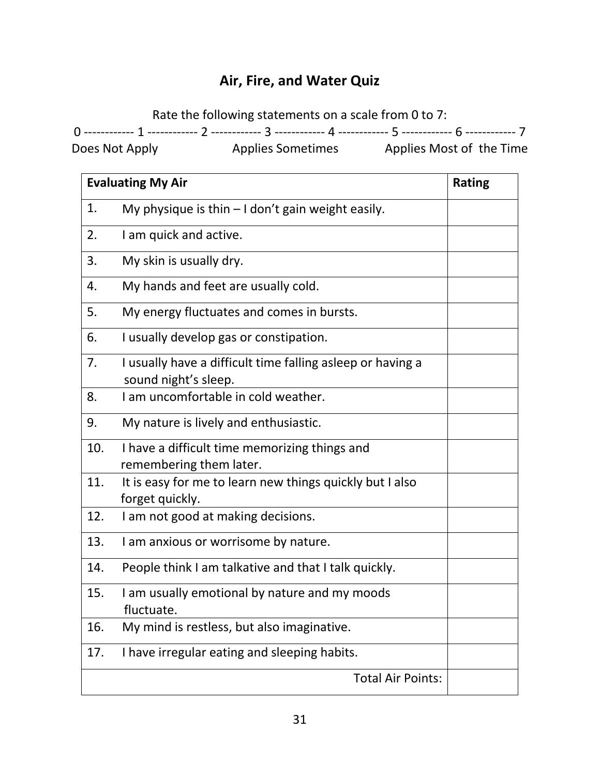# **Air, Fire, and Water Quiz**

Rate the following statements on a scale from 0 to 7:

0 ------------ 1 ------------ 2 ------------ 3 ------------ 4 ------------ 5 ------------ 6 ------------ 7

Does Not Apply Applies Sometimes Applies Most of the Time

| <b>Evaluating My Air</b> |                                                                                    | <b>Rating</b> |
|--------------------------|------------------------------------------------------------------------------------|---------------|
| 1.                       | My physique is thin $-1$ don't gain weight easily.                                 |               |
| 2.                       | I am quick and active.                                                             |               |
| 3.                       | My skin is usually dry.                                                            |               |
| 4.                       | My hands and feet are usually cold.                                                |               |
| 5.                       | My energy fluctuates and comes in bursts.                                          |               |
| 6.                       | I usually develop gas or constipation.                                             |               |
| 7.                       | I usually have a difficult time falling asleep or having a<br>sound night's sleep. |               |
| 8.                       | I am uncomfortable in cold weather.                                                |               |
| 9.                       | My nature is lively and enthusiastic.                                              |               |
| 10.                      | I have a difficult time memorizing things and<br>remembering them later.           |               |
| 11.                      | It is easy for me to learn new things quickly but I also<br>forget quickly.        |               |
| 12.                      | I am not good at making decisions.                                                 |               |
| 13.                      | I am anxious or worrisome by nature.                                               |               |
| 14.                      | People think I am talkative and that I talk quickly.                               |               |
| 15.                      | I am usually emotional by nature and my moods<br>fluctuate.                        |               |
| 16.                      | My mind is restless, but also imaginative.                                         |               |
| 17.                      | I have irregular eating and sleeping habits.                                       |               |
|                          | <b>Total Air Points:</b>                                                           |               |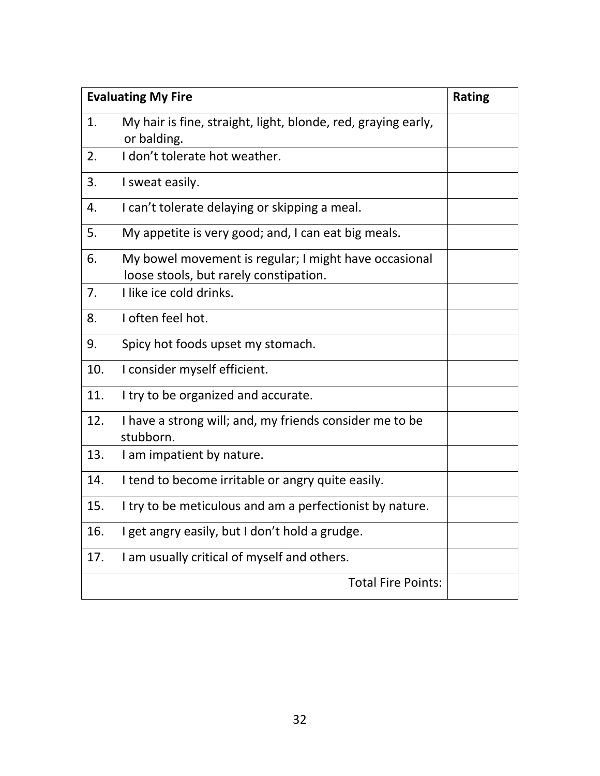| <b>Evaluating My Fire</b> |                                                                                                 | <b>Rating</b> |
|---------------------------|-------------------------------------------------------------------------------------------------|---------------|
| 1.                        | My hair is fine, straight, light, blonde, red, graying early,<br>or balding.                    |               |
| 2.                        | I don't tolerate hot weather.                                                                   |               |
| 3.                        | I sweat easily.                                                                                 |               |
| 4.                        | I can't tolerate delaying or skipping a meal.                                                   |               |
| 5.                        | My appetite is very good; and, I can eat big meals.                                             |               |
| 6.                        | My bowel movement is regular; I might have occasional<br>loose stools, but rarely constipation. |               |
| 7.                        | I like ice cold drinks.                                                                         |               |
| 8.                        | I often feel hot.                                                                               |               |
| 9.                        | Spicy hot foods upset my stomach.                                                               |               |
| 10.                       | I consider myself efficient.                                                                    |               |
| 11.                       | I try to be organized and accurate.                                                             |               |
| 12.                       | I have a strong will; and, my friends consider me to be<br>stubborn.                            |               |
| 13.                       | I am impatient by nature.                                                                       |               |
| 14.                       | I tend to become irritable or angry quite easily.                                               |               |
| 15.                       | I try to be meticulous and am a perfectionist by nature.                                        |               |
| 16.                       | I get angry easily, but I don't hold a grudge.                                                  |               |
| 17.                       | I am usually critical of myself and others.                                                     |               |
|                           | <b>Total Fire Points:</b>                                                                       |               |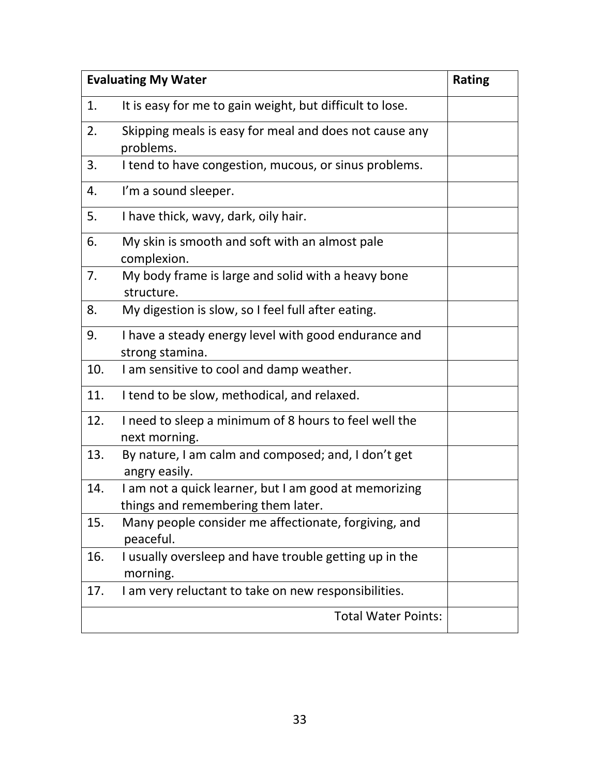| <b>Evaluating My Water</b> |                                                                                             | <b>Rating</b> |
|----------------------------|---------------------------------------------------------------------------------------------|---------------|
| 1.                         | It is easy for me to gain weight, but difficult to lose.                                    |               |
| 2.                         | Skipping meals is easy for meal and does not cause any<br>problems.                         |               |
| 3.                         | I tend to have congestion, mucous, or sinus problems.                                       |               |
| 4.                         | I'm a sound sleeper.                                                                        |               |
| 5.                         | I have thick, wavy, dark, oily hair.                                                        |               |
| 6.                         | My skin is smooth and soft with an almost pale<br>complexion.                               |               |
| 7.                         | My body frame is large and solid with a heavy bone<br>structure.                            |               |
| 8.                         | My digestion is slow, so I feel full after eating.                                          |               |
| 9.                         | I have a steady energy level with good endurance and<br>strong stamina.                     |               |
| 10.                        | I am sensitive to cool and damp weather.                                                    |               |
| 11.                        | I tend to be slow, methodical, and relaxed.                                                 |               |
| 12.                        | I need to sleep a minimum of 8 hours to feel well the<br>next morning.                      |               |
| 13.                        | By nature, I am calm and composed; and, I don't get<br>angry easily.                        |               |
| 14.                        | I am not a quick learner, but I am good at memorizing<br>things and remembering them later. |               |
| 15.                        | Many people consider me affectionate, forgiving, and<br>peaceful.                           |               |
| 16.                        | I usually oversleep and have trouble getting up in the<br>morning.                          |               |
| 17.                        | I am very reluctant to take on new responsibilities.                                        |               |
|                            | <b>Total Water Points:</b>                                                                  |               |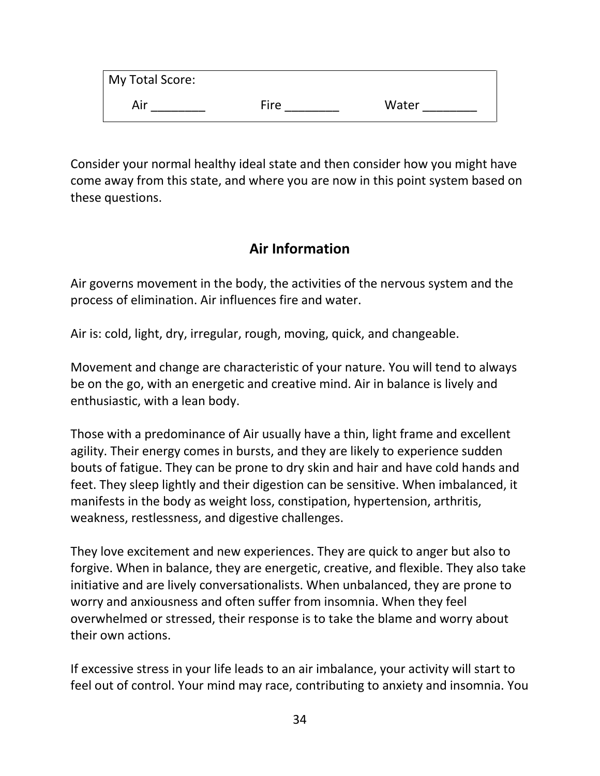| My Total Score: |      |       |
|-----------------|------|-------|
| Air             | Fire | Water |

Consider your normal healthy ideal state and then consider how you might have come away from this state, and where you are now in this point system based on these questions.

### **Air Information**

Air governs movement in the body, the activities of the nervous system and the process of elimination. Air influences fire and water.

Air is: cold, light, dry, irregular, rough, moving, quick, and changeable.

Movement and change are characteristic of your nature. You will tend to always be on the go, with an energetic and creative mind. Air in balance is lively and enthusiastic, with a lean body.

Those with a predominance of Air usually have a thin, light frame and excellent agility. Their energy comes in bursts, and they are likely to experience sudden bouts of fatigue. They can be prone to dry skin and hair and have cold hands and feet. They sleep lightly and their digestion can be sensitive. When imbalanced, it manifests in the body as weight loss, constipation, hypertension, arthritis, weakness, restlessness, and digestive challenges.

They love excitement and new experiences. They are quick to anger but also to forgive. When in balance, they are energetic, creative, and flexible. They also take initiative and are lively conversationalists. When unbalanced, they are prone to worry and anxiousness and often suffer from insomnia. When they feel overwhelmed or stressed, their response is to take the blame and worry about their own actions.

If excessive stress in your life leads to an air imbalance, your activity will start to feel out of control. Your mind may race, contributing to anxiety and insomnia. You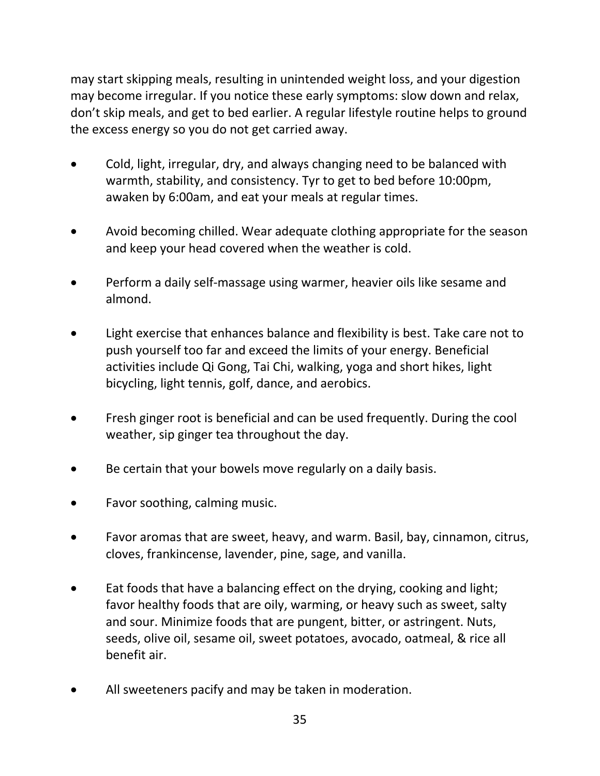may start skipping meals, resulting in unintended weight loss, and your digestion may become irregular. If you notice these early symptoms: slow down and relax, don't skip meals, and get to bed earlier. A regular lifestyle routine helps to ground the excess energy so you do not get carried away.

- Cold, light, irregular, dry, and always changing need to be balanced with warmth, stability, and consistency. Tyr to get to bed before 10:00pm, awaken by 6:00am, and eat your meals at regular times.
- Avoid becoming chilled. Wear adequate clothing appropriate for the season and keep your head covered when the weather is cold.
- Perform a daily self-massage using warmer, heavier oils like sesame and almond.
- Light exercise that enhances balance and flexibility is best. Take care not to push yourself too far and exceed the limits of your energy. Beneficial activities include Qi Gong, Tai Chi, walking, yoga and short hikes, light bicycling, light tennis, golf, dance, and aerobics.
- Fresh ginger root is beneficial and can be used frequently. During the cool weather, sip ginger tea throughout the day.
- Be certain that your bowels move regularly on a daily basis.
- Favor soothing, calming music.
- Favor aromas that are sweet, heavy, and warm. Basil, bay, cinnamon, citrus, cloves, frankincense, lavender, pine, sage, and vanilla.
- Eat foods that have a balancing effect on the drying, cooking and light; favor healthy foods that are oily, warming, or heavy such as sweet, salty and sour. Minimize foods that are pungent, bitter, or astringent. Nuts, seeds, olive oil, sesame oil, sweet potatoes, avocado, oatmeal, & rice all benefit air.
- All sweeteners pacify and may be taken in moderation.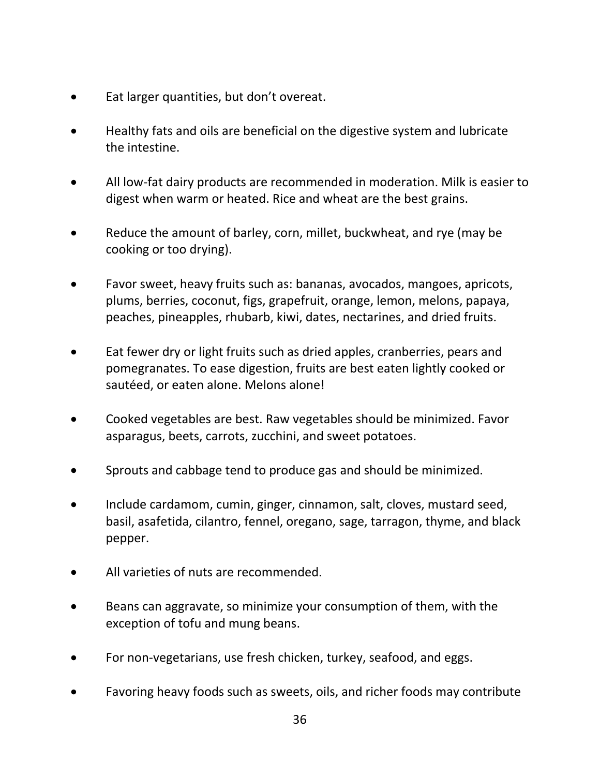- Eat larger quantities, but don't overeat.
- Healthy fats and oils are beneficial on the digestive system and lubricate the intestine.
- All low-fat dairy products are recommended in moderation. Milk is easier to digest when warm or heated. Rice and wheat are the best grains.
- Reduce the amount of barley, corn, millet, buckwheat, and rye (may be cooking or too drying).
- Favor sweet, heavy fruits such as: bananas, avocados, mangoes, apricots, plums, berries, coconut, figs, grapefruit, orange, lemon, melons, papaya, peaches, pineapples, rhubarb, kiwi, dates, nectarines, and dried fruits.
- Eat fewer dry or light fruits such as dried apples, cranberries, pears and pomegranates. To ease digestion, fruits are best eaten lightly cooked or sautéed, or eaten alone. Melons alone!
- Cooked vegetables are best. Raw vegetables should be minimized. Favor asparagus, beets, carrots, zucchini, and sweet potatoes.
- Sprouts and cabbage tend to produce gas and should be minimized.
- Include cardamom, cumin, ginger, cinnamon, salt, cloves, mustard seed, basil, asafetida, cilantro, fennel, oregano, sage, tarragon, thyme, and black pepper.
- All varieties of nuts are recommended.
- Beans can aggravate, so minimize your consumption of them, with the exception of tofu and mung beans.
- For non-vegetarians, use fresh chicken, turkey, seafood, and eggs.
- Favoring heavy foods such as sweets, oils, and richer foods may contribute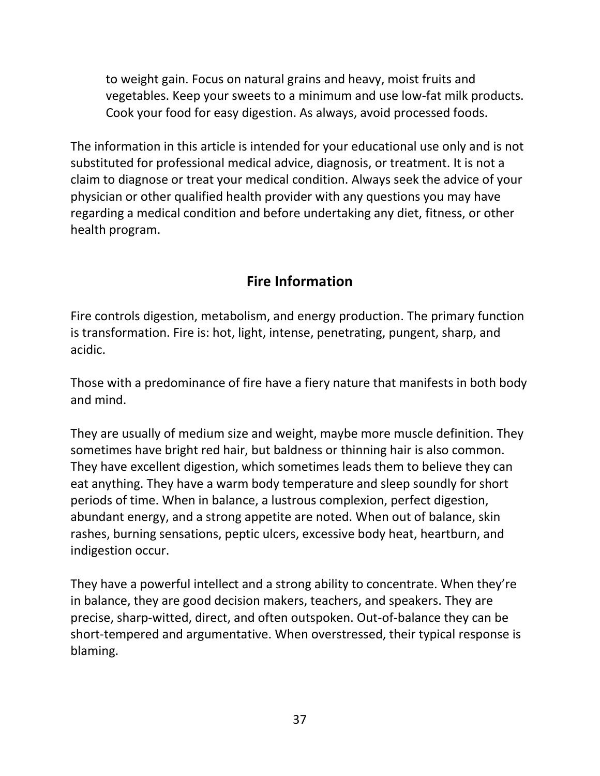to weight gain. Focus on natural grains and heavy, moist fruits and vegetables. Keep your sweets to a minimum and use low-fat milk products. Cook your food for easy digestion. As always, avoid processed foods.

The information in this article is intended for your educational use only and is not substituted for professional medical advice, diagnosis, or treatment. It is not a claim to diagnose or treat your medical condition. Always seek the advice of your physician or other qualified health provider with any questions you may have regarding a medical condition and before undertaking any diet, fitness, or other health program.

# **Fire Information**

Fire controls digestion, metabolism, and energy production. The primary function is transformation. Fire is: hot, light, intense, penetrating, pungent, sharp, and acidic.

Those with a predominance of fire have a fiery nature that manifests in both body and mind.

They are usually of medium size and weight, maybe more muscle definition. They sometimes have bright red hair, but baldness or thinning hair is also common. They have excellent digestion, which sometimes leads them to believe they can eat anything. They have a warm body temperature and sleep soundly for short periods of time. When in balance, a lustrous complexion, perfect digestion, abundant energy, and a strong appetite are noted. When out of balance, skin rashes, burning sensations, peptic ulcers, excessive body heat, heartburn, and indigestion occur.

They have a powerful intellect and a strong ability to concentrate. When they're in balance, they are good decision makers, teachers, and speakers. They are precise, sharp-witted, direct, and often outspoken. Out-of-balance they can be short-tempered and argumentative. When overstressed, their typical response is blaming.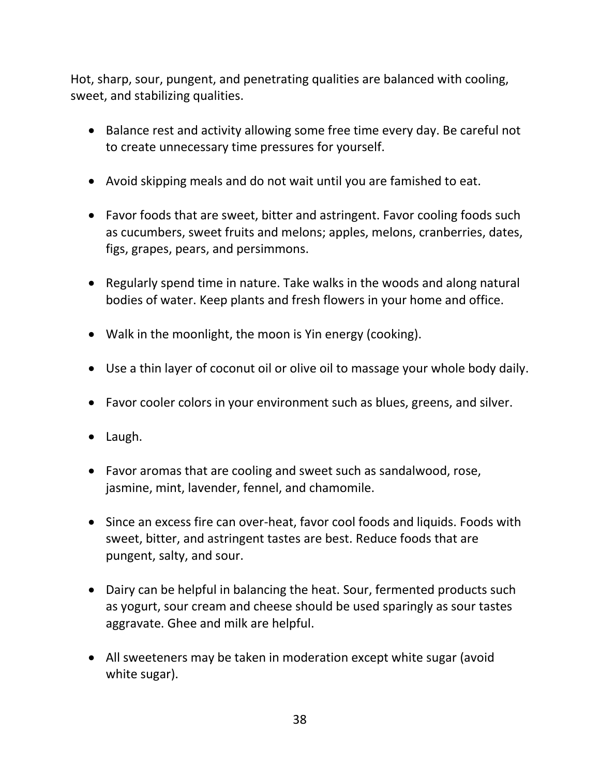Hot, sharp, sour, pungent, and penetrating qualities are balanced with cooling, sweet, and stabilizing qualities.

- Balance rest and activity allowing some free time every day. Be careful not to create unnecessary time pressures for yourself.
- Avoid skipping meals and do not wait until you are famished to eat.
- Favor foods that are sweet, bitter and astringent. Favor cooling foods such as cucumbers, sweet fruits and melons; apples, melons, cranberries, dates, figs, grapes, pears, and persimmons.
- Regularly spend time in nature. Take walks in the woods and along natural bodies of water. Keep plants and fresh flowers in your home and office.
- Walk in the moonlight, the moon is Yin energy (cooking).
- Use a thin layer of coconut oil or olive oil to massage your whole body daily.
- Favor cooler colors in your environment such as blues, greens, and silver.
- Laugh.
- Favor aromas that are cooling and sweet such as sandalwood, rose, jasmine, mint, lavender, fennel, and chamomile.
- Since an excess fire can over-heat, favor cool foods and liquids. Foods with sweet, bitter, and astringent tastes are best. Reduce foods that are pungent, salty, and sour.
- Dairy can be helpful in balancing the heat. Sour, fermented products such as yogurt, sour cream and cheese should be used sparingly as sour tastes aggravate. Ghee and milk are helpful.
- All sweeteners may be taken in moderation except white sugar (avoid white sugar).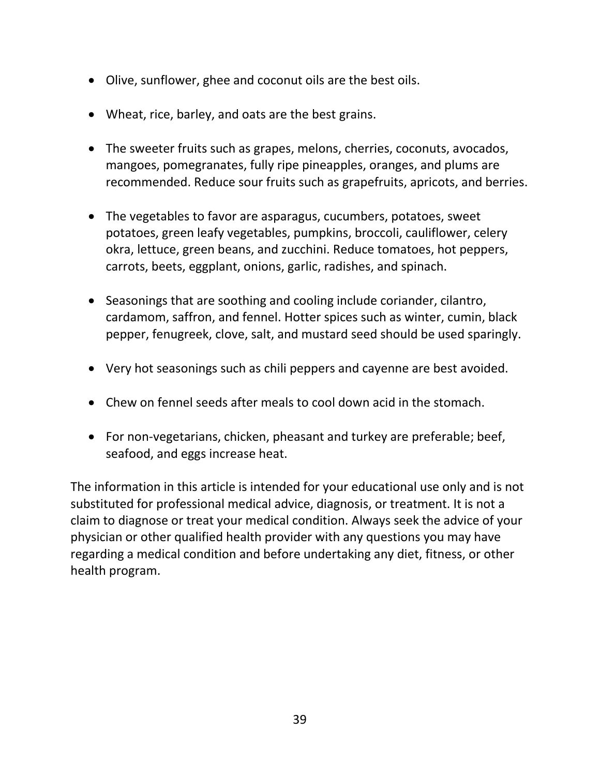- Olive, sunflower, ghee and coconut oils are the best oils.
- Wheat, rice, barley, and oats are the best grains.
- The sweeter fruits such as grapes, melons, cherries, coconuts, avocados, mangoes, pomegranates, fully ripe pineapples, oranges, and plums are recommended. Reduce sour fruits such as grapefruits, apricots, and berries.
- The vegetables to favor are asparagus, cucumbers, potatoes, sweet potatoes, green leafy vegetables, pumpkins, broccoli, cauliflower, celery okra, lettuce, green beans, and zucchini. Reduce tomatoes, hot peppers, carrots, beets, eggplant, onions, garlic, radishes, and spinach.
- Seasonings that are soothing and cooling include coriander, cilantro, cardamom, saffron, and fennel. Hotter spices such as winter, cumin, black pepper, fenugreek, clove, salt, and mustard seed should be used sparingly.
- Very hot seasonings such as chili peppers and cayenne are best avoided.
- Chew on fennel seeds after meals to cool down acid in the stomach.
- For non-vegetarians, chicken, pheasant and turkey are preferable; beef, seafood, and eggs increase heat.

The information in this article is intended for your educational use only and is not substituted for professional medical advice, diagnosis, or treatment. It is not a claim to diagnose or treat your medical condition. Always seek the advice of your physician or other qualified health provider with any questions you may have regarding a medical condition and before undertaking any diet, fitness, or other health program.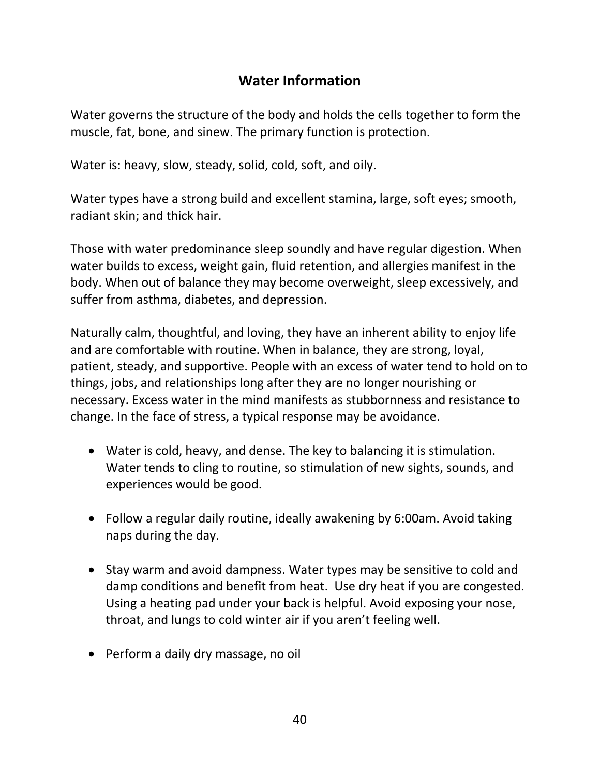### **Water Information**

Water governs the structure of the body and holds the cells together to form the muscle, fat, bone, and sinew. The primary function is protection.

Water is: heavy, slow, steady, solid, cold, soft, and oily.

Water types have a strong build and excellent stamina, large, soft eyes; smooth, radiant skin; and thick hair.

Those with water predominance sleep soundly and have regular digestion. When water builds to excess, weight gain, fluid retention, and allergies manifest in the body. When out of balance they may become overweight, sleep excessively, and suffer from asthma, diabetes, and depression.

Naturally calm, thoughtful, and loving, they have an inherent ability to enjoy life and are comfortable with routine. When in balance, they are strong, loyal, patient, steady, and supportive. People with an excess of water tend to hold on to things, jobs, and relationships long after they are no longer nourishing or necessary. Excess water in the mind manifests as stubbornness and resistance to change. In the face of stress, a typical response may be avoidance.

- Water is cold, heavy, and dense. The key to balancing it is stimulation. Water tends to cling to routine, so stimulation of new sights, sounds, and experiences would be good.
- Follow a regular daily routine, ideally awakening by 6:00am. Avoid taking naps during the day.
- Stay warm and avoid dampness. Water types may be sensitive to cold and damp conditions and benefit from heat. Use dry heat if you are congested. Using a heating pad under your back is helpful. Avoid exposing your nose, throat, and lungs to cold winter air if you aren't feeling well.
- Perform a daily dry massage, no oil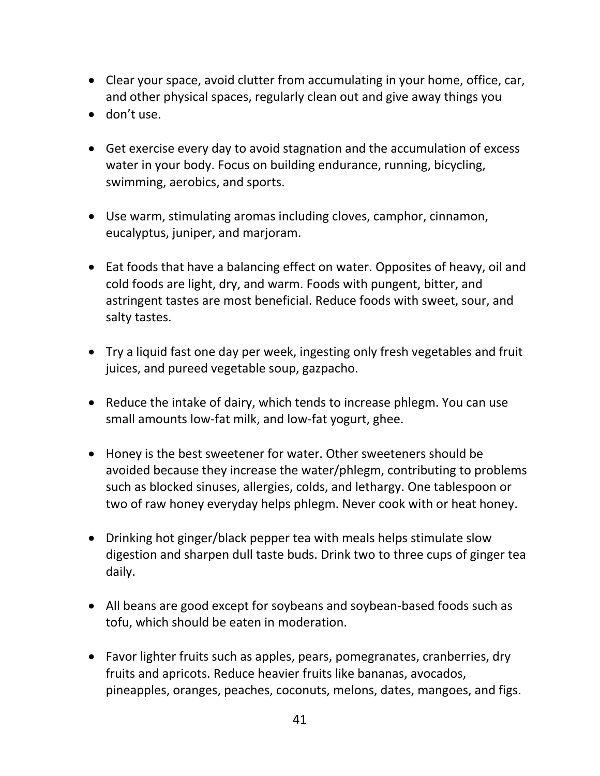- Clear your space, avoid clutter from accumulating in your home, office, car, and other physical spaces, regularly clean out and give away things you
- don't use.
- Get exercise every day to avoid stagnation and the accumulation of excess water in your body. Focus on building endurance, running, bicycling, swimming, aerobics, and sports.
- Use warm, stimulating aromas including cloves, camphor, cinnamon, eucalyptus, juniper, and marjoram.
- Eat foods that have a balancing effect on water. Opposites of heavy, oil and cold foods are light, dry, and warm. Foods with pungent, bitter, and astringent tastes are most beneficial. Reduce foods with sweet, sour, and salty tastes.
- Try a liquid fast one day per week, ingesting only fresh vegetables and fruit juices, and pureed vegetable soup, gazpacho.
- Reduce the intake of dairy, which tends to increase phlegm. You can use small amounts low-fat milk, and low-fat yogurt, ghee.
- Honey is the best sweetener for water. Other sweeteners should be avoided because they increase the water/phlegm, contributing to problems such as blocked sinuses, allergies, colds, and lethargy. One tablespoon or two of raw honey everyday helps phlegm. Never cook with or heat honey.
- Drinking hot ginger/black pepper tea with meals helps stimulate slow digestion and sharpen dull taste buds. Drink two to three cups of ginger tea daily.
- All beans are good except for soybeans and soybean-based foods such as tofu, which should be eaten in moderation.
- Favor lighter fruits such as apples, pears, pomegranates, cranberries, dry fruits and apricots. Reduce heavier fruits like bananas, avocados, pineapples, oranges, peaches, coconuts, melons, dates, mangoes, and figs.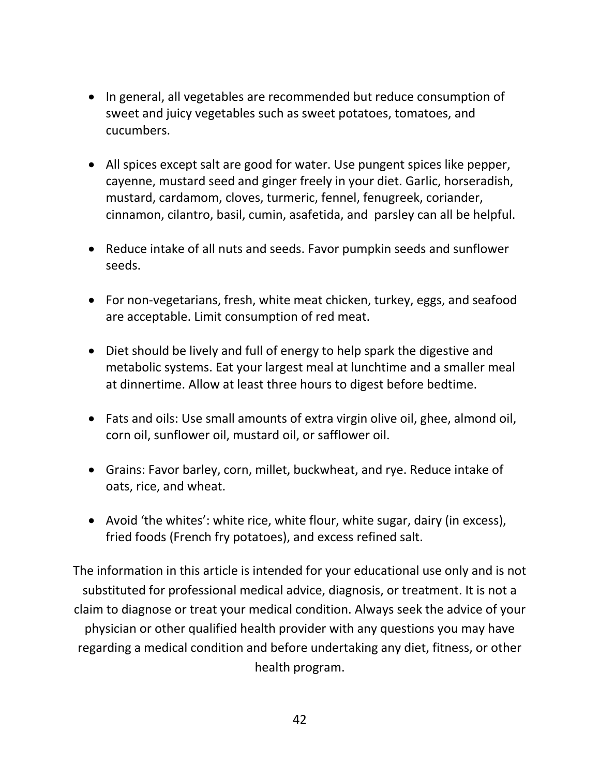- In general, all vegetables are recommended but reduce consumption of sweet and juicy vegetables such as sweet potatoes, tomatoes, and cucumbers.
- All spices except salt are good for water. Use pungent spices like pepper, cayenne, mustard seed and ginger freely in your diet. Garlic, horseradish, mustard, cardamom, cloves, turmeric, fennel, fenugreek, coriander, cinnamon, cilantro, basil, cumin, asafetida, and parsley can all be helpful.
- Reduce intake of all nuts and seeds. Favor pumpkin seeds and sunflower seeds.
- For non-vegetarians, fresh, white meat chicken, turkey, eggs, and seafood are acceptable. Limit consumption of red meat.
- Diet should be lively and full of energy to help spark the digestive and metabolic systems. Eat your largest meal at lunchtime and a smaller meal at dinnertime. Allow at least three hours to digest before bedtime.
- Fats and oils: Use small amounts of extra virgin olive oil, ghee, almond oil, corn oil, sunflower oil, mustard oil, or safflower oil.
- Grains: Favor barley, corn, millet, buckwheat, and rye. Reduce intake of oats, rice, and wheat.
- Avoid 'the whites': white rice, white flour, white sugar, dairy (in excess), fried foods (French fry potatoes), and excess refined salt.

The information in this article is intended for your educational use only and is not substituted for professional medical advice, diagnosis, or treatment. It is not a claim to diagnose or treat your medical condition. Always seek the advice of your physician or other qualified health provider with any questions you may have regarding a medical condition and before undertaking any diet, fitness, or other health program.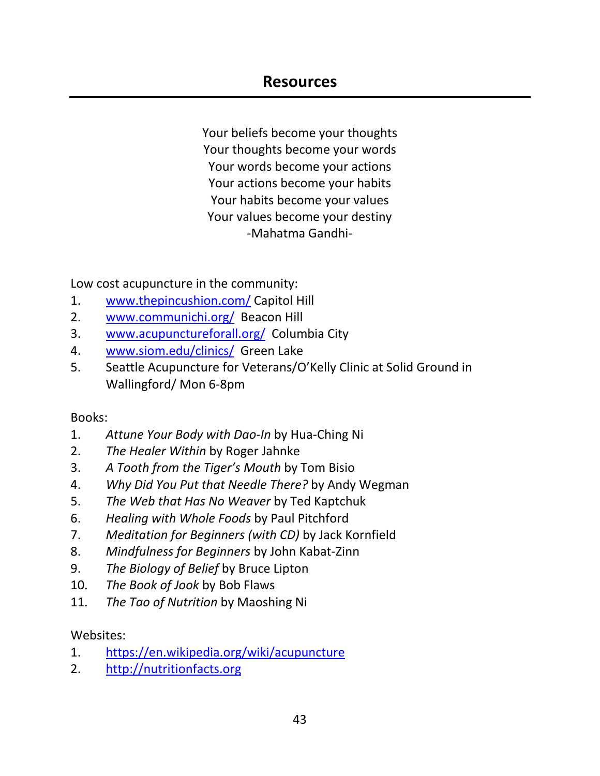### **Resources**

Your beliefs become your thoughts Your thoughts become your words Your words become your actions Your actions become your habits Your habits become your values Your values become your destiny -Mahatma Gandhi-

Low cost acupuncture in the community:

- 1. [www.thepincushion.com/](http://www.thepincushion.com/) Capitol Hill
- 2. [www.communichi.org/](http://www.communichi.org/) Beacon Hill
- 3. [www.acupunctureforall.org/](http://www.acupunctureforall.org/) Columbia City
- 4. [www.siom.edu/clinics/](http://www.siom.edu/clinics/) Green Lake
- 5. Seattle Acupuncture for Veterans/O'Kelly Clinic at Solid Ground in Wallingford/ Mon 6-8pm

#### Books:

- 1. *Attune Your Body with Dao-In* by Hua-Ching Ni
- 2. *The Healer Within* by Roger Jahnke
- 3. *A Tooth from the Tiger's Mouth* by Tom Bisio
- 4. *Why Did You Put that Needle There?* by Andy Wegman
- 5. *The Web that Has No Weaver* by Ted Kaptchuk
- 6. *Healing with Whole Foods* by Paul Pitchford
- 7. *Meditation for Beginners (with CD)* by Jack Kornfield
- 8. *Mindfulness for Beginners* by John Kabat-Zinn
- 9. *The Biology of Belief* by Bruce Lipton
- 10. *The Book of Jook* by Bob Flaws
- 11. *The Tao of Nutrition* by Maoshing Ni

#### Websites:

- 1. <https://en.wikipedia.org/wiki/acupuncture>
- 2. [http://nutritionfacts.org](http://nutritionfacts.org/)